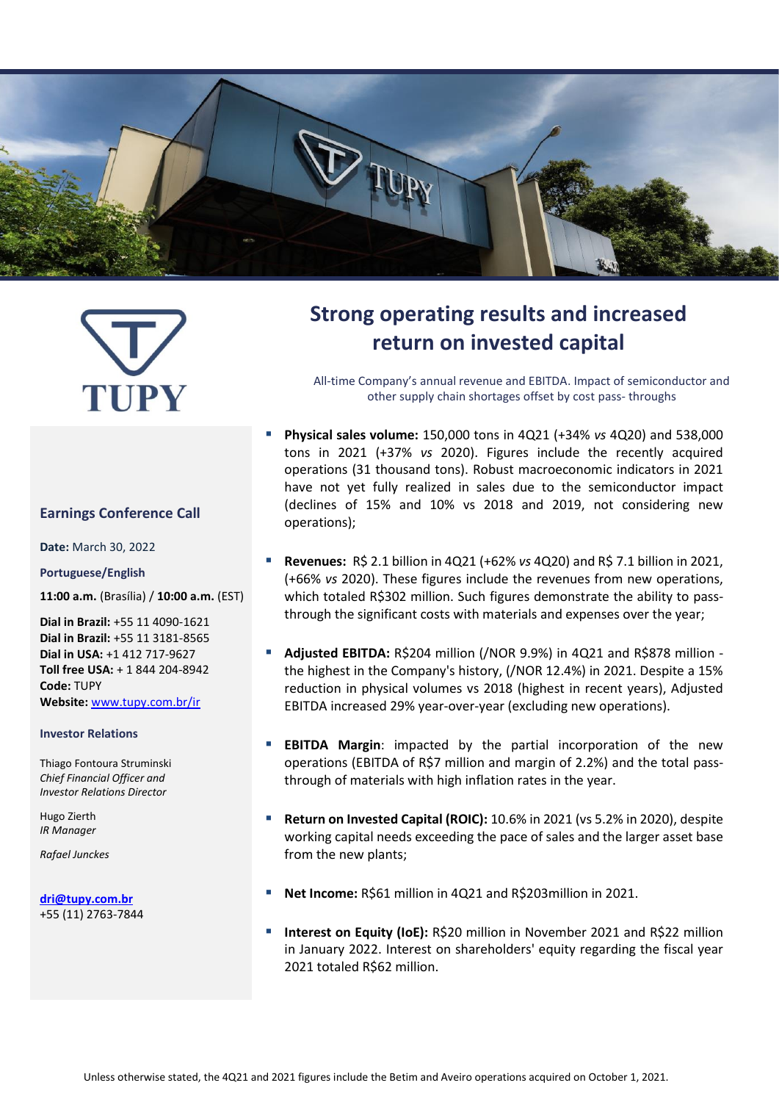

# TUPY

#### **Earnings Conference Call**

**Date:** March 30, 2022

#### **Portuguese/English**

**11:00 a.m.** (Brasília) / **10:00 a.m.** (EST)

**Dial in Brazil:** +55 11 4090-1621 **Dial in Brazil:** +55 11 3181-8565 **Dial in USA:** +1 412 717-9627 **Toll free USA:** + 1 844 204-8942 **Code:** TUPY **Website:** [www.tupy.com.br/ir](http://www.tupy.com.br/ri)

#### **Investor Relations**

Thiago Fontoura Struminski *Chief Financial Officer and Investor Relations Director*

Hugo Zierth *IR Manager*

*Rafael Junckes*

**[dri@tupy.com.br](mailto:dri@tupy.com.br)** +55 (11) 2763-7844

# **Strong operating results and increased return on invested capital**

All-time Company's annual revenue and EBITDA. Impact of semiconductor and other supply chain shortages offset by cost pass- throughs

- **Physical sales volume:** 150,000 tons in 4Q21 (+34% *vs* 4Q20) and 538,000 tons in 2021 (+37% *vs* 2020). Figures include the recently acquired operations (31 thousand tons). Robust macroeconomic indicators in 2021 have not yet fully realized in sales due to the semiconductor impact (declines of 15% and 10% vs 2018 and 2019, not considering new operations);
- **Revenues:** R\$ 2.1 billion in 4Q21 (+62% *vs* 4Q20) and R\$ 7.1 billion in 2021, (+66% *vs* 2020). These figures include the revenues from new operations, which totaled R\$302 million. Such figures demonstrate the ability to passthrough the significant costs with materials and expenses over the year;
- **Adjusted EBITDA:** R\$204 million (/NOR 9.9%) in 4Q21 and R\$878 million the highest in the Company's history, (/NOR 12.4%) in 2021. Despite a 15% reduction in physical volumes vs 2018 (highest in recent years), Adjusted EBITDA increased 29% year-over-year (excluding new operations).
- **EBITDA Margin:** impacted by the partial incorporation of the new operations (EBITDA of R\$7 million and margin of 2.2%) and the total passthrough of materials with high inflation rates in the year.
- **Return on Invested Capital (ROIC):** 10.6% in 2021 (vs 5.2% in 2020), despite working capital needs exceeding the pace of sales and the larger asset base from the new plants;
- Net Income: R\$61 million in 4Q21 and R\$203million in 2021.
- **Interest on Equity (IoE):** R\$20 million in November 2021 and R\$22 million in January 2022. Interest on shareholders' equity regarding the fiscal year 2021 totaled R\$62 million.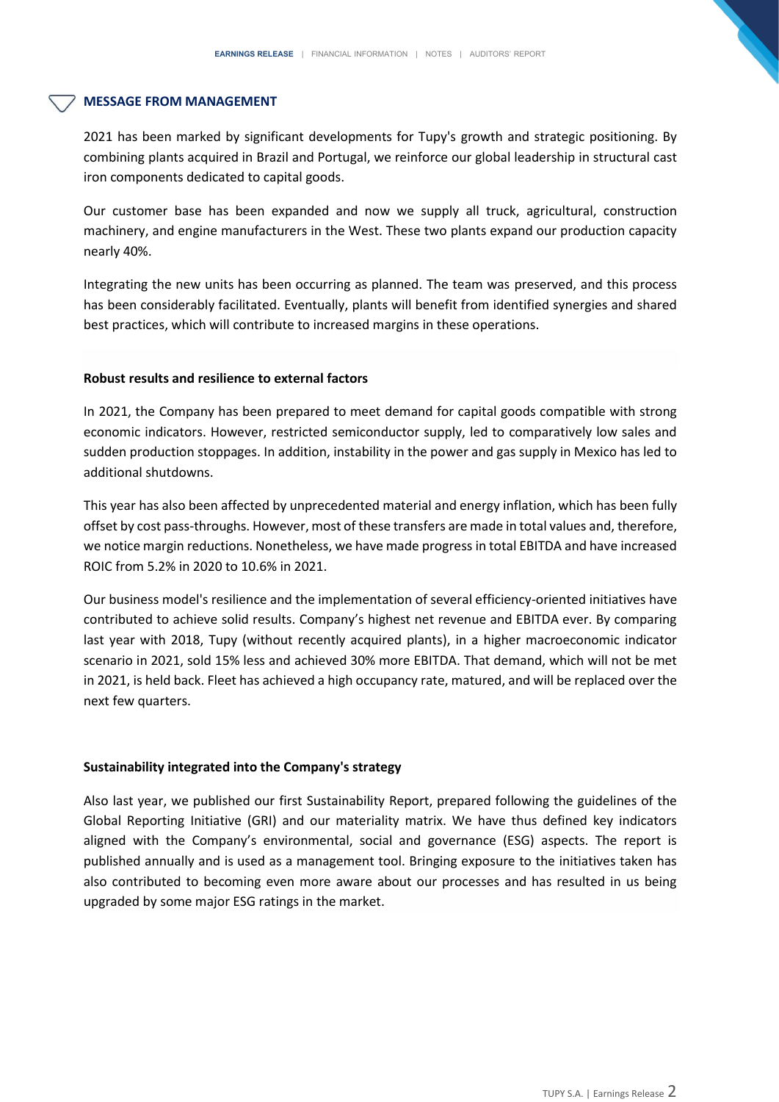#### **MESSAGE FROM MANAGEMENT**

2021 has been marked by significant developments for Tupy's growth and strategic positioning. By combining plants acquired in Brazil and Portugal, we reinforce our global leadership in structural cast iron components dedicated to capital goods.

Our customer base has been expanded and now we supply all truck, agricultural, construction machinery, and engine manufacturers in the West. These two plants expand our production capacity nearly 40%.

Integrating the new units has been occurring as planned. The team was preserved, and this process has been considerably facilitated. Eventually, plants will benefit from identified synergies and shared best practices, which will contribute to increased margins in these operations.

#### **Robust results and resilience to external factors**

In 2021, the Company has been prepared to meet demand for capital goods compatible with strong economic indicators. However, restricted semiconductor supply, led to comparatively low sales and sudden production stoppages. In addition, instability in the power and gas supply in Mexico has led to additional shutdowns.

This year has also been affected by unprecedented material and energy inflation, which has been fully offset by cost pass-throughs. However, most of these transfers are made in total values and, therefore, we notice margin reductions. Nonetheless, we have made progress in total EBITDA and have increased ROIC from 5.2% in 2020 to 10.6% in 2021.

Our business model's resilience and the implementation of several efficiency-oriented initiatives have contributed to achieve solid results. Company's highest net revenue and EBITDA ever. By comparing last year with 2018, Tupy (without recently acquired plants), in a higher macroeconomic indicator scenario in 2021, sold 15% less and achieved 30% more EBITDA. That demand, which will not be met in 2021, is held back. Fleet has achieved a high occupancy rate, matured, and will be replaced over the next few quarters.

#### **Sustainability integrated into the Company's strategy**

Also last year, we published our first Sustainability Report, prepared following the guidelines of the Global Reporting Initiative (GRI) and our materiality matrix. We have thus defined key indicators aligned with the Company's environmental, social and governance (ESG) aspects. The report is published annually and is used as a management tool. Bringing exposure to the initiatives taken has also contributed to becoming even more aware about our processes and has resulted in us being upgraded by some major ESG ratings in the market.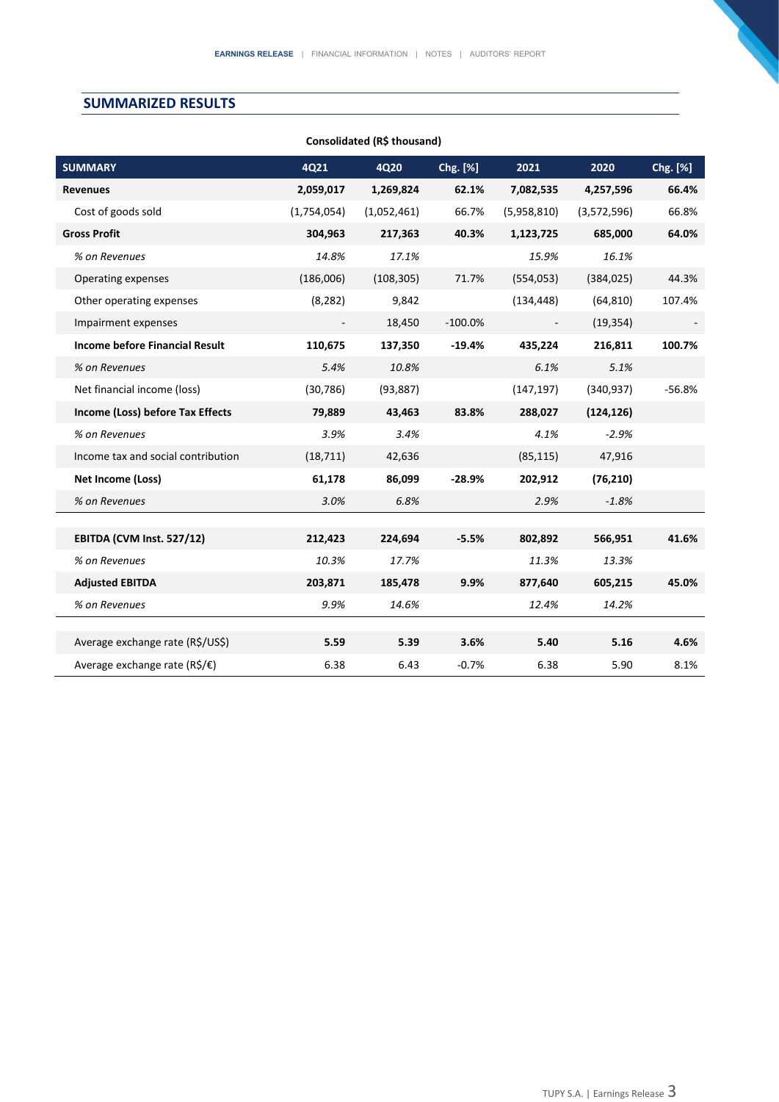# **SUMMARIZED RESULTS**

| <b>SUMMARY</b>                                | 4Q21        | <b>4Q20</b> | Chg. [%]  | 2021        | 2020        | Chg. [%] |
|-----------------------------------------------|-------------|-------------|-----------|-------------|-------------|----------|
| <b>Revenues</b>                               | 2,059,017   | 1,269,824   | 62.1%     | 7,082,535   | 4,257,596   | 66.4%    |
| Cost of goods sold                            | (1,754,054) | (1,052,461) | 66.7%     | (5,958,810) | (3,572,596) | 66.8%    |
| <b>Gross Profit</b>                           | 304,963     | 217,363     | 40.3%     | 1,123,725   | 685,000     | 64.0%    |
| % on Revenues                                 | 14.8%       | 17.1%       |           | 15.9%       | 16.1%       |          |
| Operating expenses                            | (186,006)   | (108, 305)  | 71.7%     | (554, 053)  | (384, 025)  | 44.3%    |
| Other operating expenses                      | (8, 282)    | 9,842       |           | (134, 448)  | (64, 810)   | 107.4%   |
| Impairment expenses                           |             | 18,450      | $-100.0%$ |             | (19, 354)   |          |
| Income before Financial Result                | 110,675     | 137,350     | $-19.4%$  | 435,224     | 216,811     | 100.7%   |
| % on Revenues                                 | 5.4%        | 10.8%       |           | 6.1%        | 5.1%        |          |
| Net financial income (loss)                   | (30, 786)   | (93, 887)   |           | (147, 197)  | (340, 937)  | $-56.8%$ |
| Income (Loss) before Tax Effects              | 79,889      | 43,463      | 83.8%     | 288,027     | (124, 126)  |          |
| % on Revenues                                 | 3.9%        | 3.4%        |           | 4.1%        | $-2.9%$     |          |
| Income tax and social contribution            | (18, 711)   | 42,636      |           | (85, 115)   | 47,916      |          |
| Net Income (Loss)                             | 61,178      | 86.099      | $-28.9%$  | 202,912     | (76, 210)   |          |
| % on Revenues                                 | 3.0%        | 6.8%        |           | 2.9%        | $-1.8%$     |          |
|                                               |             |             |           |             |             |          |
| EBITDA (CVM Inst. 527/12)                     | 212,423     | 224,694     | $-5.5%$   | 802,892     | 566,951     | 41.6%    |
| % on Revenues                                 | 10.3%       | 17.7%       |           | 11.3%       | 13.3%       |          |
| <b>Adjusted EBITDA</b>                        | 203,871     | 185,478     | 9.9%      | 877,640     | 605,215     | 45.0%    |
| % on Revenues                                 | 9.9%        | 14.6%       |           | 12.4%       | 14.2%       |          |
|                                               |             |             |           |             |             |          |
| Average exchange rate (R\$/US\$)              | 5.59        | 5.39        | 3.6%      | 5.40        | 5.16        | 4.6%     |
| Average exchange rate ( $R\hat{S}/\epsilon$ ) | 6.38        | 6.43        | $-0.7%$   | 6.38        | 5.90        | 8.1%     |

#### **Consolidated (R\$ thousand)**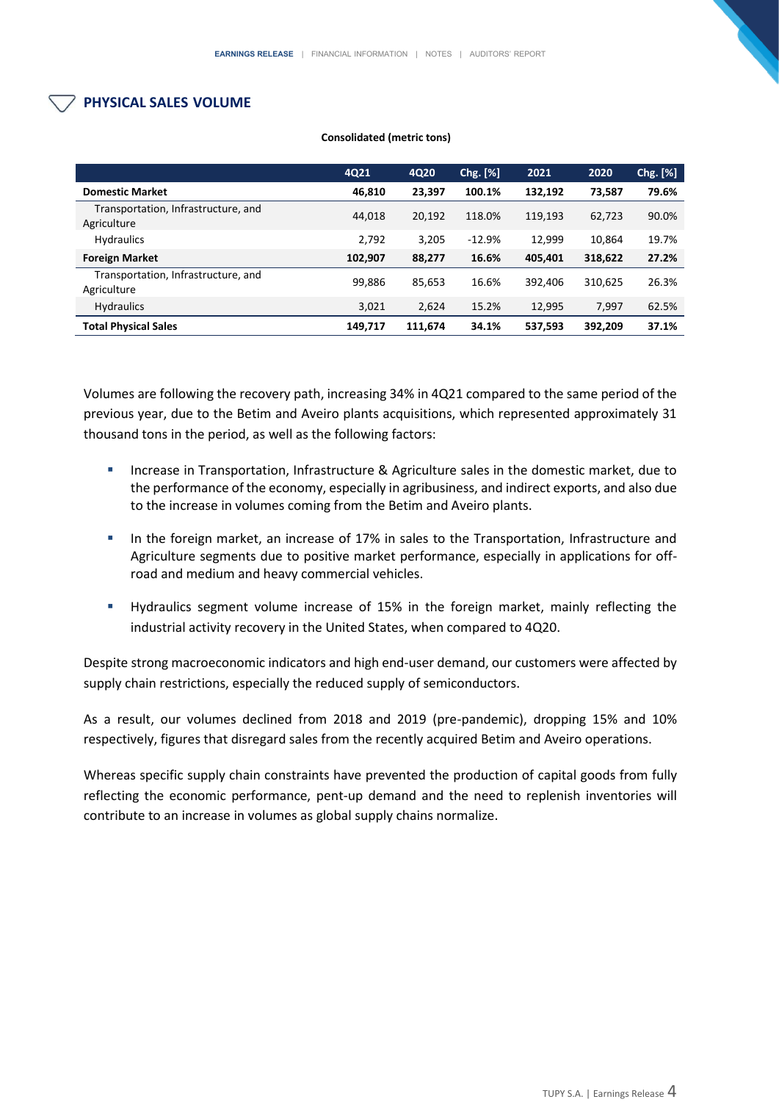# **PHYSICAL SALES VOLUME**

|                                                    | 4Q21    | 4Q20    | Chg. [%] | 2021    | 2020    | Chg. [%] |
|----------------------------------------------------|---------|---------|----------|---------|---------|----------|
| <b>Domestic Market</b>                             | 46,810  | 23,397  | 100.1%   | 132,192 | 73,587  | 79.6%    |
| Transportation, Infrastructure, and<br>Agriculture | 44.018  | 20,192  | 118.0%   | 119.193 | 62,723  | 90.0%    |
| <b>Hydraulics</b>                                  | 2,792   | 3.205   | $-12.9%$ | 12.999  | 10.864  | 19.7%    |
| <b>Foreign Market</b>                              | 102,907 | 88,277  | 16.6%    | 405.401 | 318,622 | 27.2%    |
| Transportation, Infrastructure, and<br>Agriculture | 99,886  | 85,653  | 16.6%    | 392.406 | 310,625 | 26.3%    |
| <b>Hydraulics</b>                                  | 3,021   | 2,624   | 15.2%    | 12,995  | 7,997   | 62.5%    |
| <b>Total Physical Sales</b>                        | 149.717 | 111.674 | 34.1%    | 537.593 | 392.209 | 37.1%    |

#### **Consolidated (metric tons)**

Volumes are following the recovery path, increasing 34% in 4Q21 compared to the same period of the previous year, due to the Betim and Aveiro plants acquisitions, which represented approximately 31 thousand tons in the period, as well as the following factors:

- Increase in Transportation, Infrastructure & Agriculture sales in the domestic market, due to the performance of the economy, especially in agribusiness, and indirect exports, and also due to the increase in volumes coming from the Betim and Aveiro plants.
- **■** In the foreign market, an increase of 17% in sales to the Transportation, Infrastructure and Agriculture segments due to positive market performance, especially in applications for offroad and medium and heavy commercial vehicles.
- Hydraulics segment volume increase of 15% in the foreign market, mainly reflecting the industrial activity recovery in the United States, when compared to 4Q20.

Despite strong macroeconomic indicators and high end-user demand, our customers were affected by supply chain restrictions, especially the reduced supply of semiconductors.

As a result, our volumes declined from 2018 and 2019 (pre-pandemic), dropping 15% and 10% respectively, figures that disregard sales from the recently acquired Betim and Aveiro operations.

Whereas specific supply chain constraints have prevented the production of capital goods from fully reflecting the economic performance, pent-up demand and the need to replenish inventories will contribute to an increase in volumes as global supply chains normalize.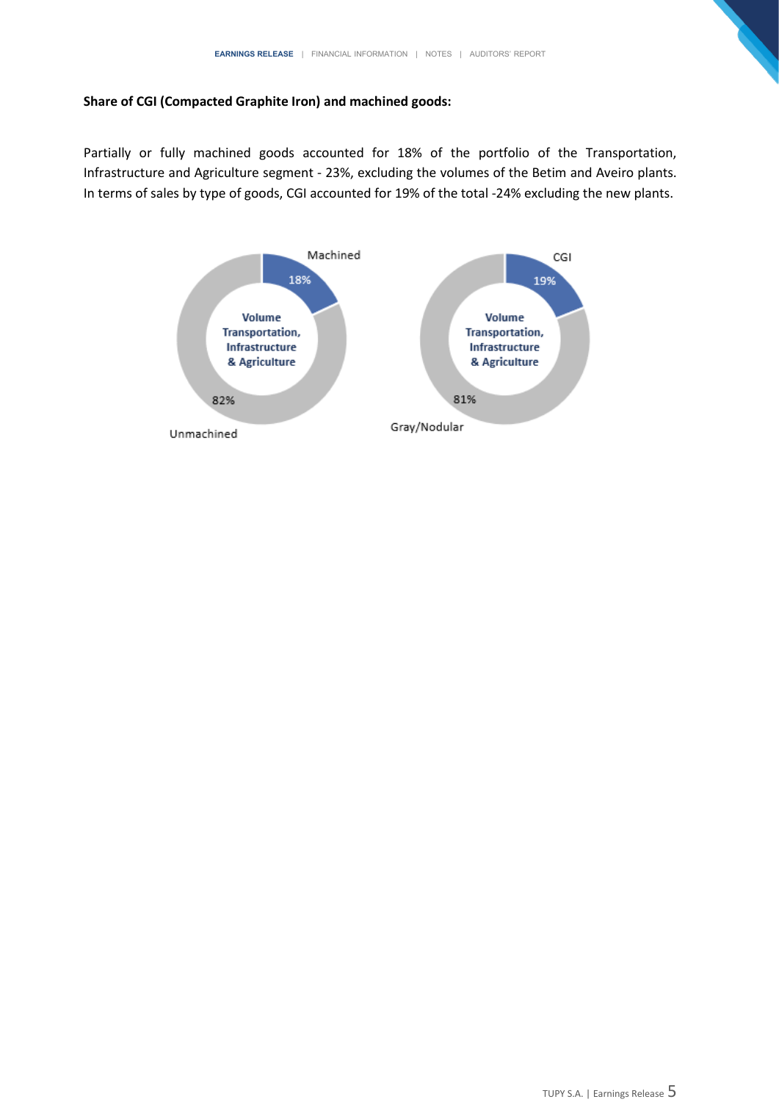## **Share of CGI (Compacted Graphite Iron) and machined goods:**

Partially or fully machined goods accounted for 18% of the portfolio of the Transportation, Infrastructure and Agriculture segment - 23%, excluding the volumes of the Betim and Aveiro plants. In terms of sales by type of goods, CGI accounted for 19% of the total -24% excluding the new plants.

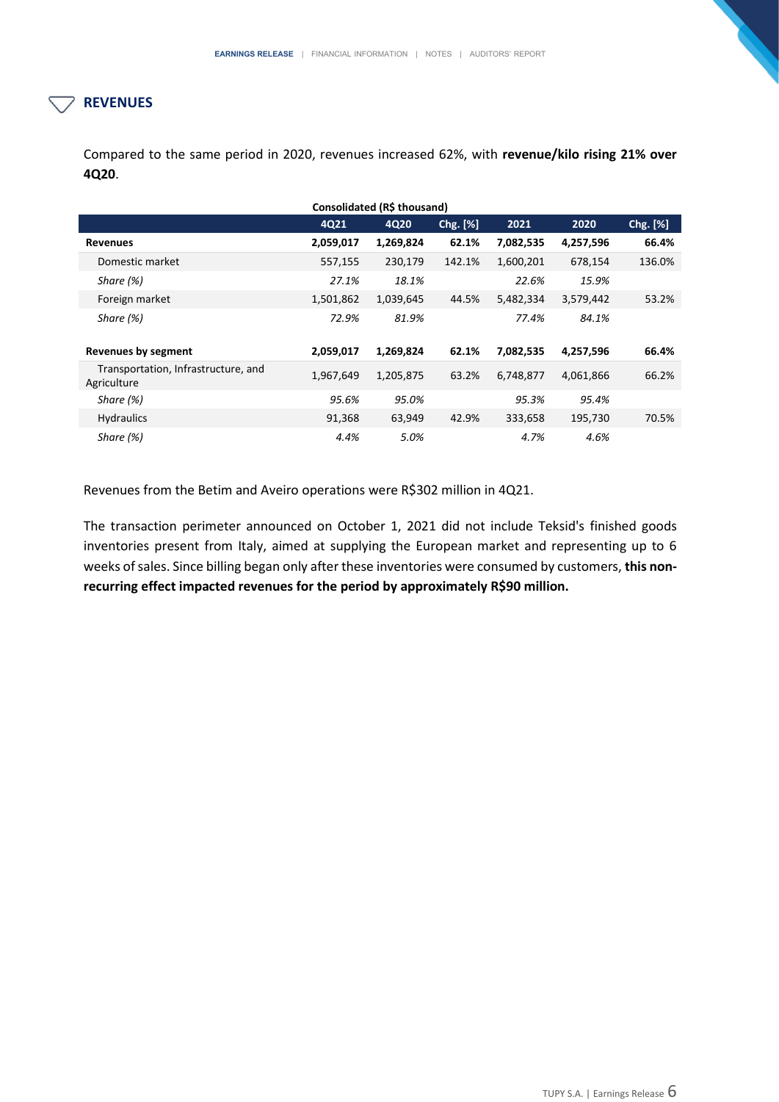# **REVENUES**

Compared to the same period in 2020, revenues increased 62%, with **revenue/kilo rising 21% over 4Q20**.

| Consolidated (R\$ thousand)                        |           |           |          |           |           |          |  |  |  |  |
|----------------------------------------------------|-----------|-----------|----------|-----------|-----------|----------|--|--|--|--|
|                                                    | 4Q21      | 4Q20      | Chg. [%] | 2021      | 2020      | Chg. [%] |  |  |  |  |
| <b>Revenues</b>                                    | 2,059,017 | 1,269,824 | 62.1%    | 7,082,535 | 4,257,596 | 66.4%    |  |  |  |  |
| Domestic market                                    | 557,155   | 230,179   | 142.1%   | 1,600,201 | 678,154   | 136.0%   |  |  |  |  |
| Share (%)                                          | 27.1%     | 18.1%     |          | 22.6%     | 15.9%     |          |  |  |  |  |
| Foreign market                                     | 1,501,862 | 1,039,645 | 44.5%    | 5,482,334 | 3,579,442 | 53.2%    |  |  |  |  |
| Share $(%)$                                        | 72.9%     | 81.9%     |          | 77.4%     | 84.1%     |          |  |  |  |  |
| <b>Revenues by segment</b>                         | 2,059,017 | 1,269,824 | 62.1%    | 7,082,535 | 4,257,596 | 66.4%    |  |  |  |  |
| Transportation, Infrastructure, and<br>Agriculture | 1,967,649 | 1,205,875 | 63.2%    | 6,748,877 | 4,061,866 | 66.2%    |  |  |  |  |
| Share (%)                                          | 95.6%     | 95.0%     |          | 95.3%     | 95.4%     |          |  |  |  |  |
| <b>Hydraulics</b>                                  | 91,368    | 63,949    | 42.9%    | 333,658   | 195,730   | 70.5%    |  |  |  |  |
| Share (%)                                          | 4.4%      | 5.0%      |          | 4.7%      | 4.6%      |          |  |  |  |  |

Revenues from the Betim and Aveiro operations were R\$302 million in 4Q21.

The transaction perimeter announced on October 1, 2021 did not include Teksid's finished goods inventories present from Italy, aimed at supplying the European market and representing up to 6 weeks of sales. Since billing began only after these inventories were consumed by customers, **this nonrecurring effect impacted revenues for the period by approximately R\$90 million.**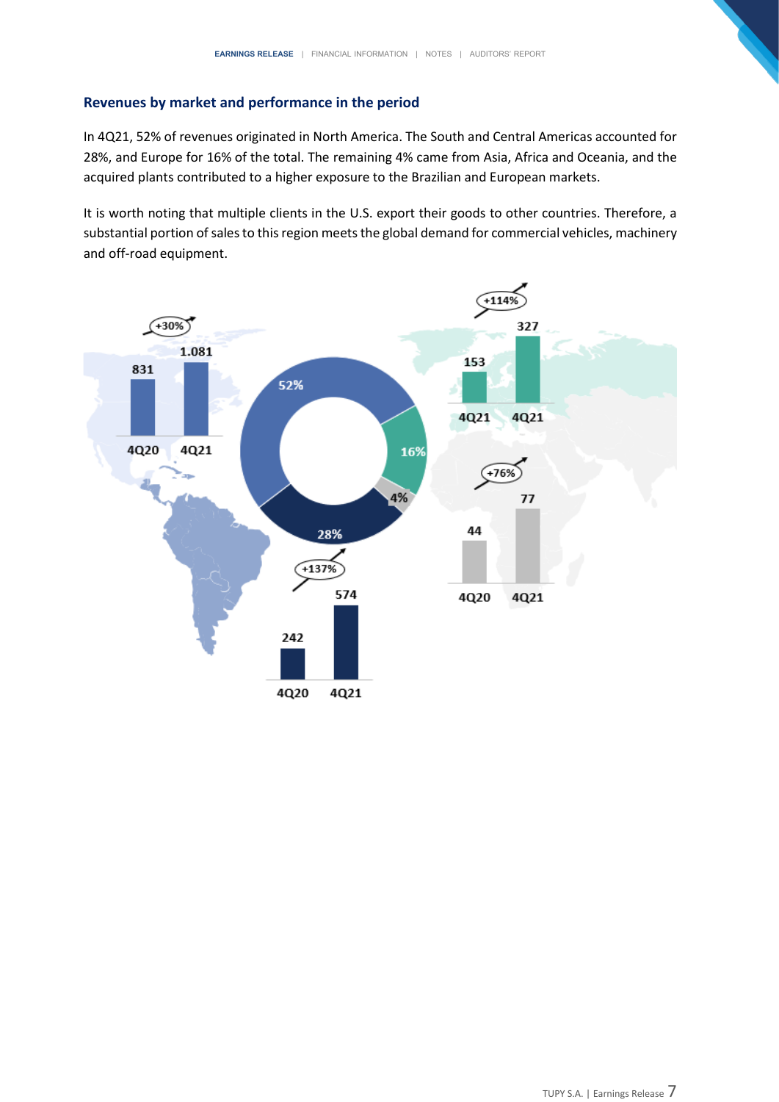# **Revenues by market and performance in the period**

In 4Q21, 52% of revenues originated in North America. The South and Central Americas accounted for 28%, and Europe for 16% of the total. The remaining 4% came from Asia, Africa and Oceania, and the acquired plants contributed to a higher exposure to the Brazilian and European markets.

It is worth noting that multiple clients in the U.S. export their goods to other countries. Therefore, a substantial portion of sales to this region meets the global demand for commercial vehicles, machinery and off-road equipment.

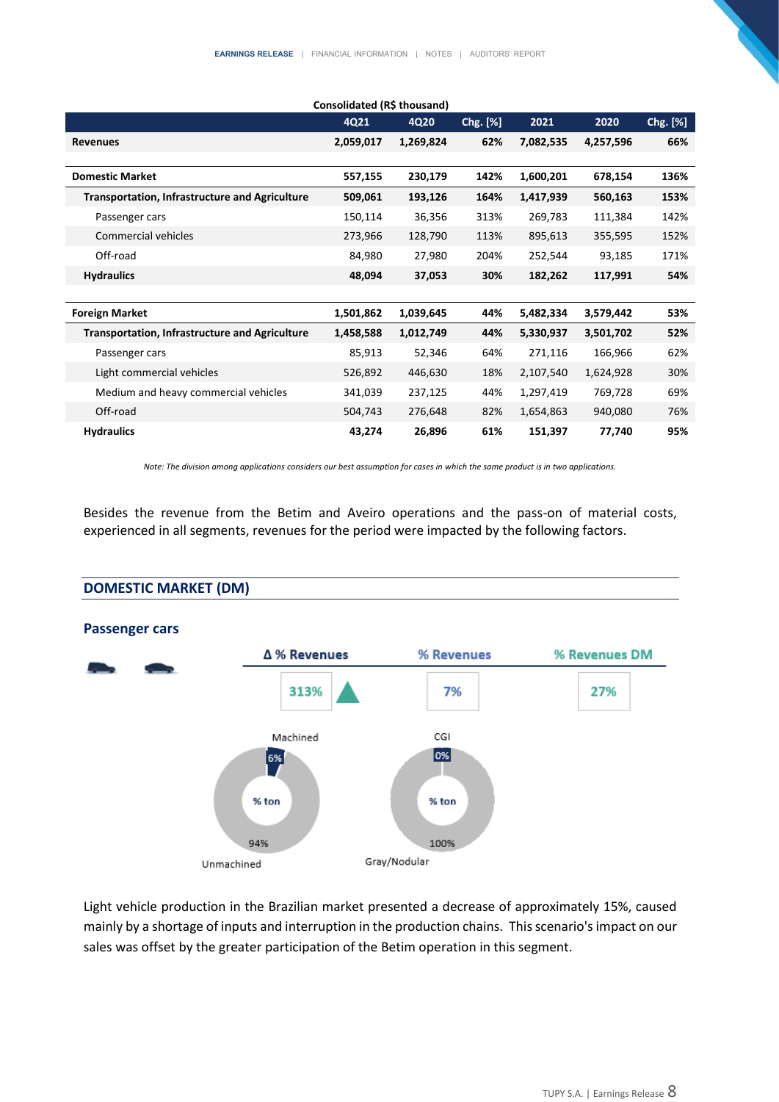|                                                       | 4Q21      | 4Q20      | Chg. [%] | 2021      | 2020      | Chg. [%] |
|-------------------------------------------------------|-----------|-----------|----------|-----------|-----------|----------|
| <b>Revenues</b>                                       | 2,059,017 | 1,269,824 | 62%      | 7,082,535 | 4,257,596 | 66%      |
|                                                       |           |           |          |           |           |          |
| <b>Domestic Market</b>                                | 557,155   | 230,179   | 142%     | 1,600,201 | 678,154   | 136%     |
| <b>Transportation, Infrastructure and Agriculture</b> | 509,061   | 193,126   | 164%     | 1,417,939 | 560,163   | 153%     |
| Passenger cars                                        | 150,114   | 36,356    | 313%     | 269,783   | 111,384   | 142%     |
| Commercial vehicles                                   | 273,966   | 128,790   | 113%     | 895,613   | 355,595   | 152%     |
| Off-road                                              | 84,980    | 27,980    | 204%     | 252,544   | 93,185    | 171%     |
| <b>Hydraulics</b>                                     | 48,094    | 37,053    | 30%      | 182,262   | 117,991   | 54%      |
|                                                       |           |           |          |           |           |          |
| <b>Foreign Market</b>                                 | 1,501,862 | 1,039,645 | 44%      | 5,482,334 | 3,579,442 | 53%      |
| <b>Transportation, Infrastructure and Agriculture</b> | 1,458,588 | 1,012,749 | 44%      | 5,330,937 | 3,501,702 | 52%      |
| Passenger cars                                        | 85,913    | 52,346    | 64%      | 271,116   | 166,966   | 62%      |
| Light commercial vehicles                             | 526,892   | 446,630   | 18%      | 2,107,540 | 1,624,928 | 30%      |
| Medium and heavy commercial vehicles                  | 341,039   | 237,125   | 44%      | 1,297,419 | 769,728   | 69%      |
| Off-road                                              | 504,743   | 276,648   | 82%      | 1,654,863 | 940,080   | 76%      |
| <b>Hydraulics</b>                                     | 43,274    | 26,896    | 61%      | 151,397   | 77,740    | 95%      |

*Note: The division among applications considers our best assumption for cases in which the same product is in two applications.*

Besides the revenue from the Betim and Aveiro operations and the pass-on of material costs, experienced in all segments, revenues for the period were impacted by the following factors.

#### **DOMESTIC MARKET (DM)**



Light vehicle production in the Brazilian market presented a decrease of approximately 15%, caused mainly by a shortage of inputs and interruption in the production chains. This scenario's impact on our sales was offset by the greater participation of the Betim operation in this segment.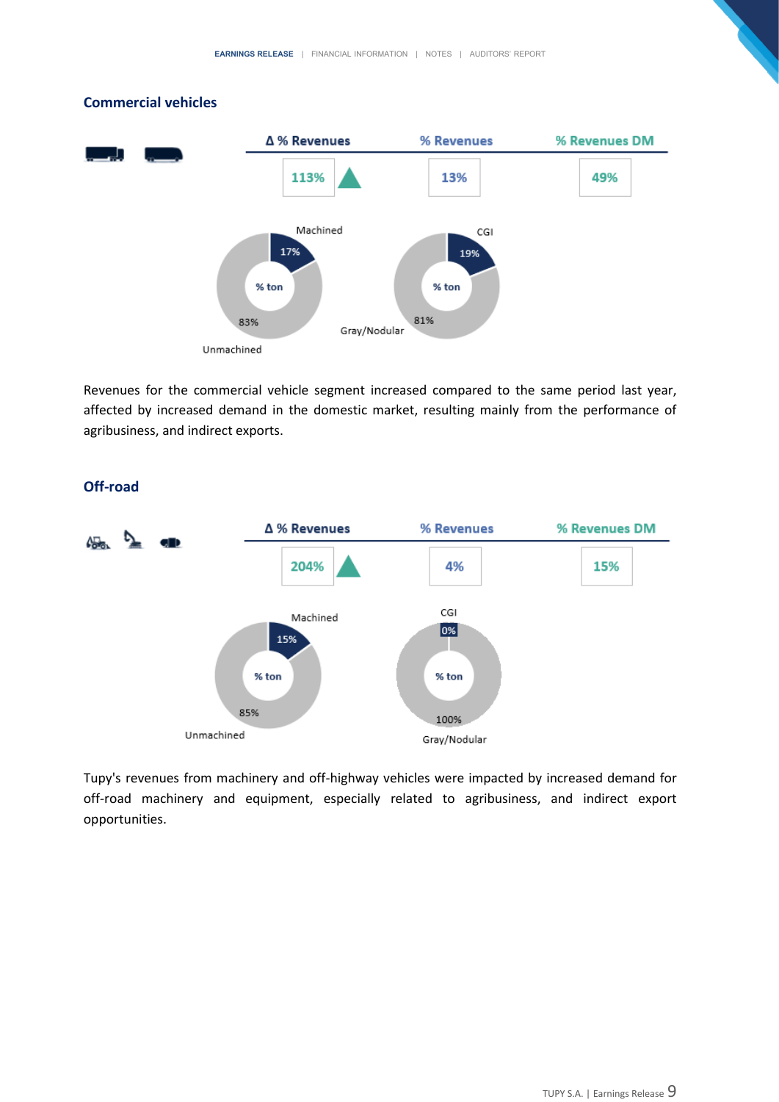

#### **Commercial vehicles**

Revenues for the commercial vehicle segment increased compared to the same period last year, affected by increased demand in the domestic market, resulting mainly from the performance of agribusiness, and indirect exports.



#### **Off-road**

Tupy's revenues from machinery and off-highway vehicles were impacted by increased demand for off-road machinery and equipment, especially related to agribusiness, and indirect export opportunities.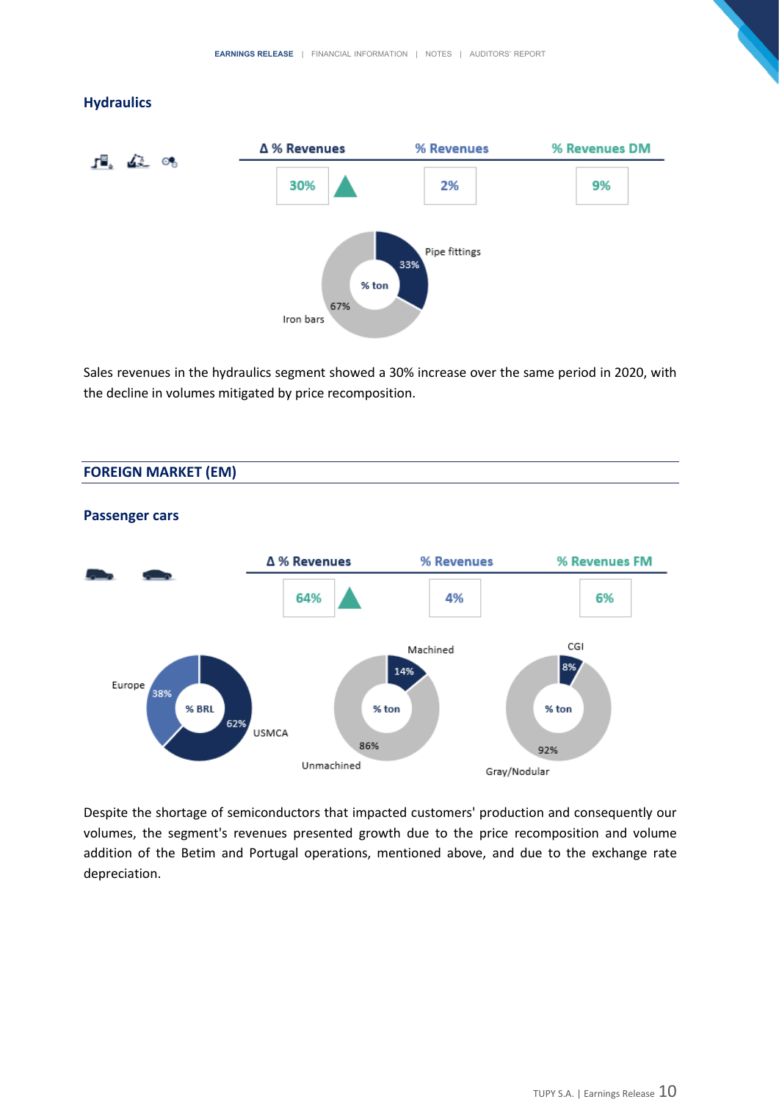#### **Hydraulics**



Sales revenues in the hydraulics segment showed a 30% increase over the same period in 2020, with the decline in volumes mitigated by price recomposition.

#### **FOREIGN MARKET (EM)**



#### **Passenger cars**

Despite the shortage of semiconductors that impacted customers' production and consequently our volumes, the segment's revenues presented growth due to the price recomposition and volume addition of the Betim and Portugal operations, mentioned above, and due to the exchange rate depreciation.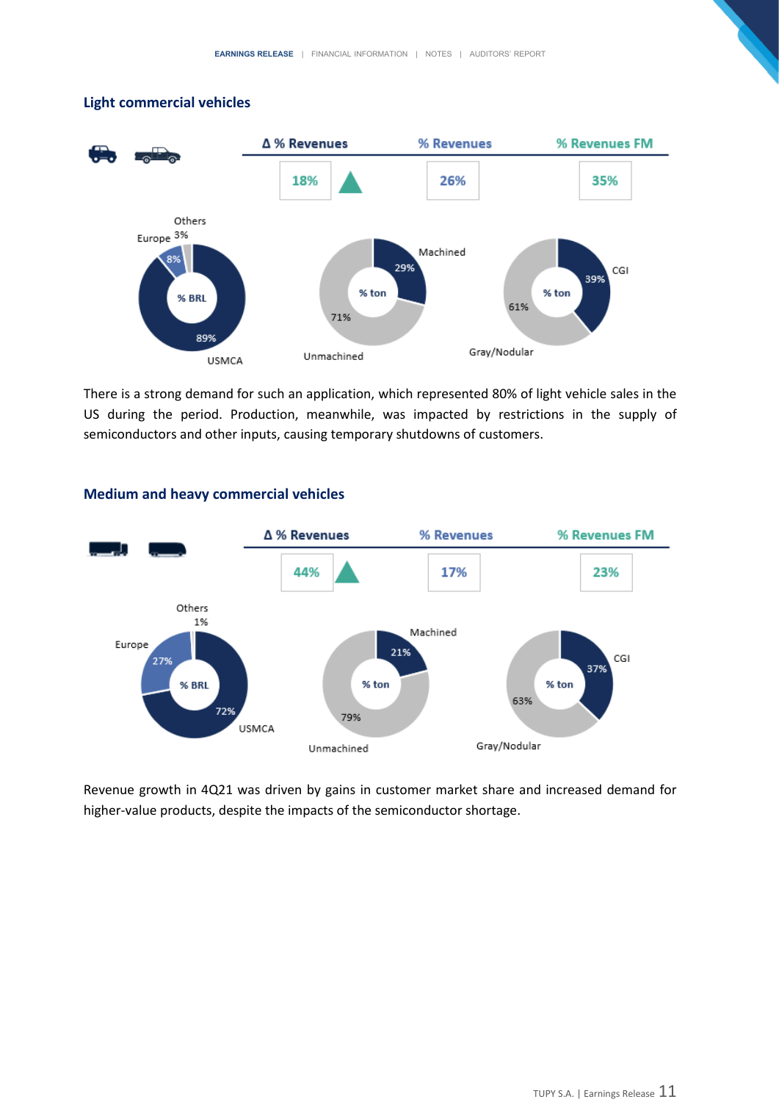# **Light commercial vehicles**



There is a strong demand for such an application, which represented 80% of light vehicle sales in the US during the period. Production, meanwhile, was impacted by restrictions in the supply of semiconductors and other inputs, causing temporary shutdowns of customers.



# **Medium and heavy commercial vehicles**

Revenue growth in 4Q21 was driven by gains in customer market share and increased demand for higher-value products, despite the impacts of the semiconductor shortage.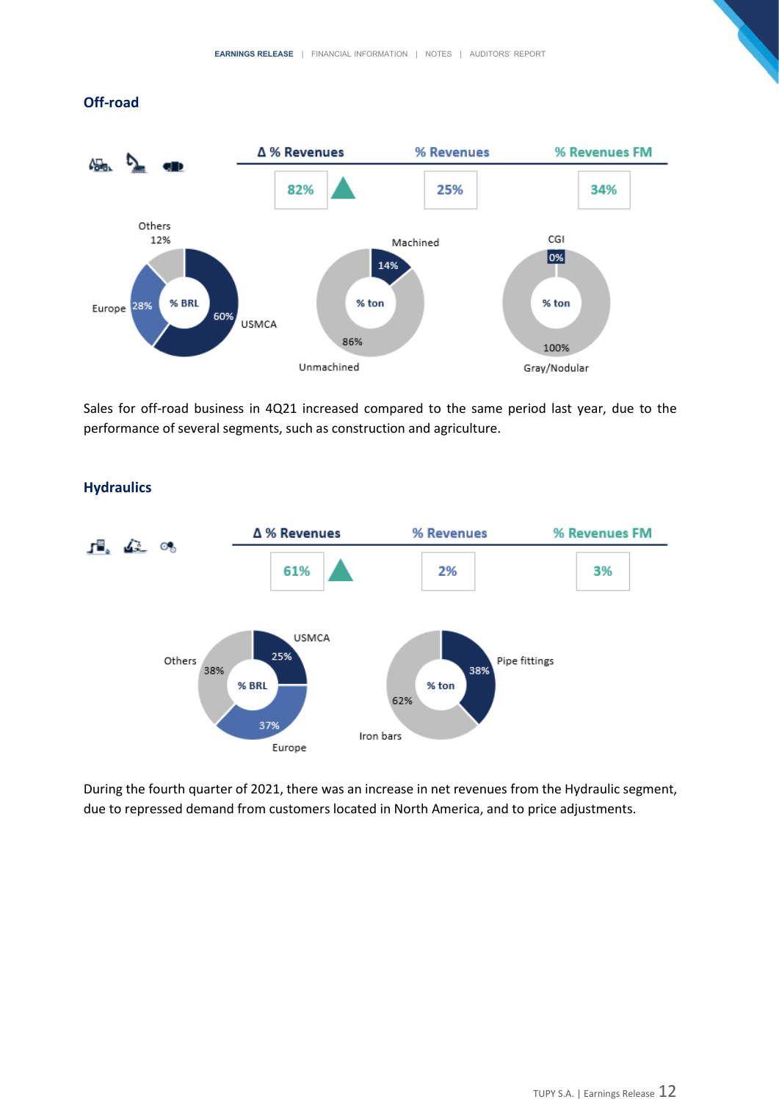#### **Off-road**



Sales for off-road business in 4Q21 increased compared to the same period last year, due to the performance of several segments, such as construction and agriculture.



## **Hydraulics**

During the fourth quarter of 2021, there was an increase in net revenues from the Hydraulic segment, due to repressed demand from customers located in North America, and to price adjustments.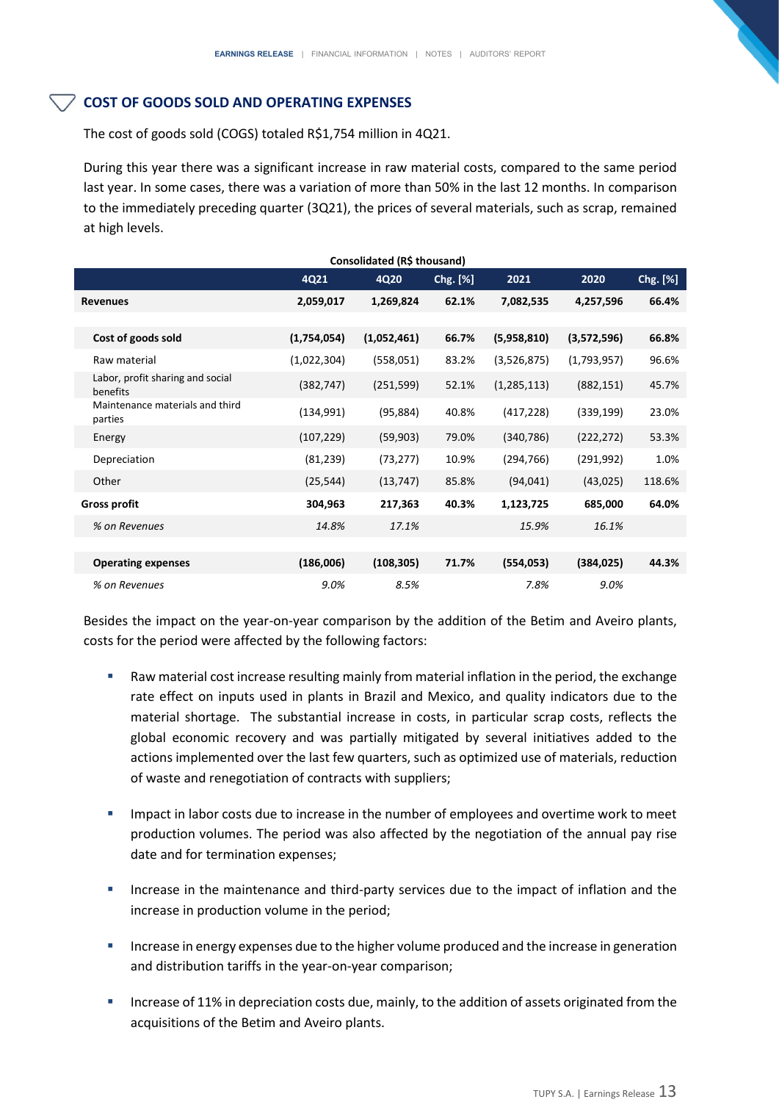# **COST OF GOODS SOLD AND OPERATING EXPENSES**

The cost of goods sold (COGS) totaled R\$1,754 million in 4Q21.

During this year there was a significant increase in raw material costs, compared to the same period last year. In some cases, there was a variation of more than 50% in the last 12 months. In comparison to the immediately preceding quarter (3Q21), the prices of several materials, such as scrap, remained at high levels.

| Consolidated (R\$ thousand)                  |             |             |          |               |             |          |  |  |
|----------------------------------------------|-------------|-------------|----------|---------------|-------------|----------|--|--|
|                                              | 4Q21        | 4Q20        | Chg. [%] | 2021          | 2020        | Chg. [%] |  |  |
| <b>Revenues</b>                              | 2,059,017   | 1,269,824   | 62.1%    | 7,082,535     | 4,257,596   | 66.4%    |  |  |
|                                              |             |             |          |               |             |          |  |  |
| Cost of goods sold                           | (1,754,054) | (1,052,461) | 66.7%    | (5,958,810)   | (3,572,596) | 66.8%    |  |  |
| Raw material                                 | (1,022,304) | (558,051)   | 83.2%    | (3,526,875)   | (1,793,957) | 96.6%    |  |  |
| Labor, profit sharing and social<br>benefits | (382, 747)  | (251, 599)  | 52.1%    | (1, 285, 113) | (882, 151)  | 45.7%    |  |  |
| Maintenance materials and third<br>parties   | (134, 991)  | (95, 884)   | 40.8%    | (417, 228)    | (339, 199)  | 23.0%    |  |  |
| Energy                                       | (107, 229)  | (59,903)    | 79.0%    | (340, 786)    | (222, 272)  | 53.3%    |  |  |
| Depreciation                                 | (81, 239)   | (73, 277)   | 10.9%    | (294, 766)    | (291, 992)  | 1.0%     |  |  |
| Other                                        | (25, 544)   | (13, 747)   | 85.8%    | (94, 041)     | (43,025)    | 118.6%   |  |  |
| <b>Gross profit</b>                          | 304,963     | 217,363     | 40.3%    | 1,123,725     | 685,000     | 64.0%    |  |  |
| % on Revenues                                | 14.8%       | 17.1%       |          | 15.9%         | 16.1%       |          |  |  |
|                                              |             |             |          |               |             |          |  |  |
| <b>Operating expenses</b>                    | (186,006)   | (108, 305)  | 71.7%    | (554, 053)    | (384, 025)  | 44.3%    |  |  |
| % on Revenues                                | 9.0%        | 8.5%        |          | 7.8%          | 9.0%        |          |  |  |

Besides the impact on the year-on-year comparison by the addition of the Betim and Aveiro plants, costs for the period were affected by the following factors:

- Raw material cost increase resulting mainly from material inflation in the period, the exchange rate effect on inputs used in plants in Brazil and Mexico, and quality indicators due to the material shortage. The substantial increase in costs, in particular scrap costs, reflects the global economic recovery and was partially mitigated by several initiatives added to the actions implemented over the last few quarters, such as optimized use of materials, reduction of waste and renegotiation of contracts with suppliers;
- Impact in labor costs due to increase in the number of employees and overtime work to meet production volumes. The period was also affected by the negotiation of the annual pay rise date and for termination expenses;
- **■** Increase in the maintenance and third-party services due to the impact of inflation and the increase in production volume in the period;
- Increase in energy expenses due to the higher volume produced and the increase in generation and distribution tariffs in the year-on-year comparison;
- **EXECT** Increase of 11% in depreciation costs due, mainly, to the addition of assets originated from the acquisitions of the Betim and Aveiro plants.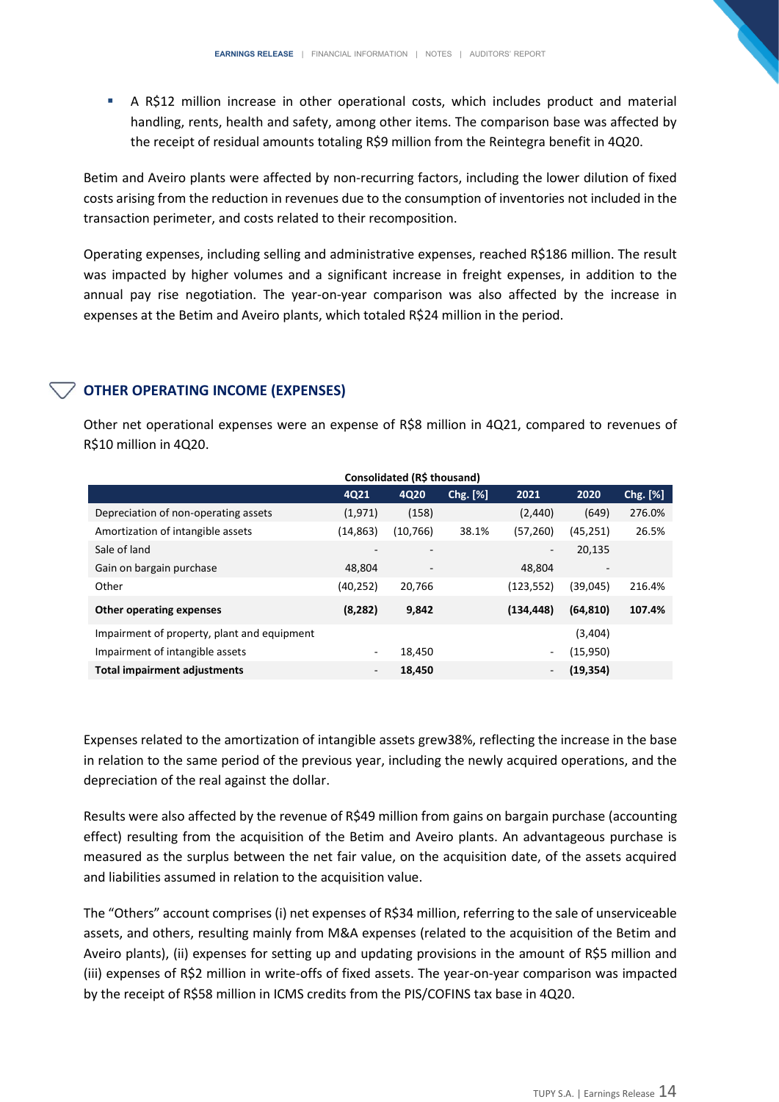**EXECT** A R\$12 million increase in other operational costs, which includes product and material handling, rents, health and safety, among other items. The comparison base was affected by the receipt of residual amounts totaling R\$9 million from the Reintegra benefit in 4Q20.

Betim and Aveiro plants were affected by non-recurring factors, including the lower dilution of fixed costs arising from the reduction in revenues due to the consumption of inventories not included in the transaction perimeter, and costs related to their recomposition.

Operating expenses, including selling and administrative expenses, reached R\$186 million. The result was impacted by higher volumes and a significant increase in freight expenses, in addition to the annual pay rise negotiation. The year-on-year comparison was also affected by the increase in expenses at the Betim and Aveiro plants, which totaled R\$24 million in the period.

# **OTHER OPERATING INCOME (EXPENSES)**

Other net operational expenses were an expense of R\$8 million in 4Q21, compared to revenues of R\$10 million in 4Q20.

| Consolidated (R\$ thousand)                 |           |                          |          |            |                          |          |  |  |  |
|---------------------------------------------|-----------|--------------------------|----------|------------|--------------------------|----------|--|--|--|
|                                             | 4Q21      | 4Q20                     | Chg. [%] | 2021       | 2020                     | Chg. [%] |  |  |  |
| Depreciation of non-operating assets        | (1, 971)  | (158)                    |          | (2,440)    | (649)                    | 276.0%   |  |  |  |
| Amortization of intangible assets           | (14, 863) | (10, 766)                | 38.1%    | (57,260)   | (45, 251)                | 26.5%    |  |  |  |
| Sale of land                                |           |                          |          | ۰          | 20,135                   |          |  |  |  |
| Gain on bargain purchase                    | 48.804    | $\overline{\phantom{a}}$ |          | 48.804     | $\overline{\phantom{a}}$ |          |  |  |  |
| Other                                       | (40, 252) | 20,766                   |          | (123, 552) | (39,045)                 | 216.4%   |  |  |  |
| <b>Other operating expenses</b>             | (8, 282)  | 9,842                    |          | (134, 448) | (64, 810)                | 107.4%   |  |  |  |
| Impairment of property, plant and equipment |           |                          |          |            | (3,404)                  |          |  |  |  |
| Impairment of intangible assets             | $\sim$    | 18.450                   |          | Ξ.         | (15,950)                 |          |  |  |  |
| <b>Total impairment adjustments</b>         | -         | 18.450                   |          | -          | (19, 354)                |          |  |  |  |

Expenses related to the amortization of intangible assets grew38%, reflecting the increase in the base in relation to the same period of the previous year, including the newly acquired operations, and the depreciation of the real against the dollar.

Results were also affected by the revenue of R\$49 million from gains on bargain purchase (accounting effect) resulting from the acquisition of the Betim and Aveiro plants. An advantageous purchase is measured as the surplus between the net fair value, on the acquisition date, of the assets acquired and liabilities assumed in relation to the acquisition value.

The "Others" account comprises (i) net expenses of R\$34 million, referring to the sale of unserviceable assets, and others, resulting mainly from M&A expenses (related to the acquisition of the Betim and Aveiro plants), (ii) expenses for setting up and updating provisions in the amount of R\$5 million and (iii) expenses of R\$2 million in write-offs of fixed assets. The year-on-year comparison was impacted by the receipt of R\$58 million in ICMS credits from the PIS/COFINS tax base in 4Q20.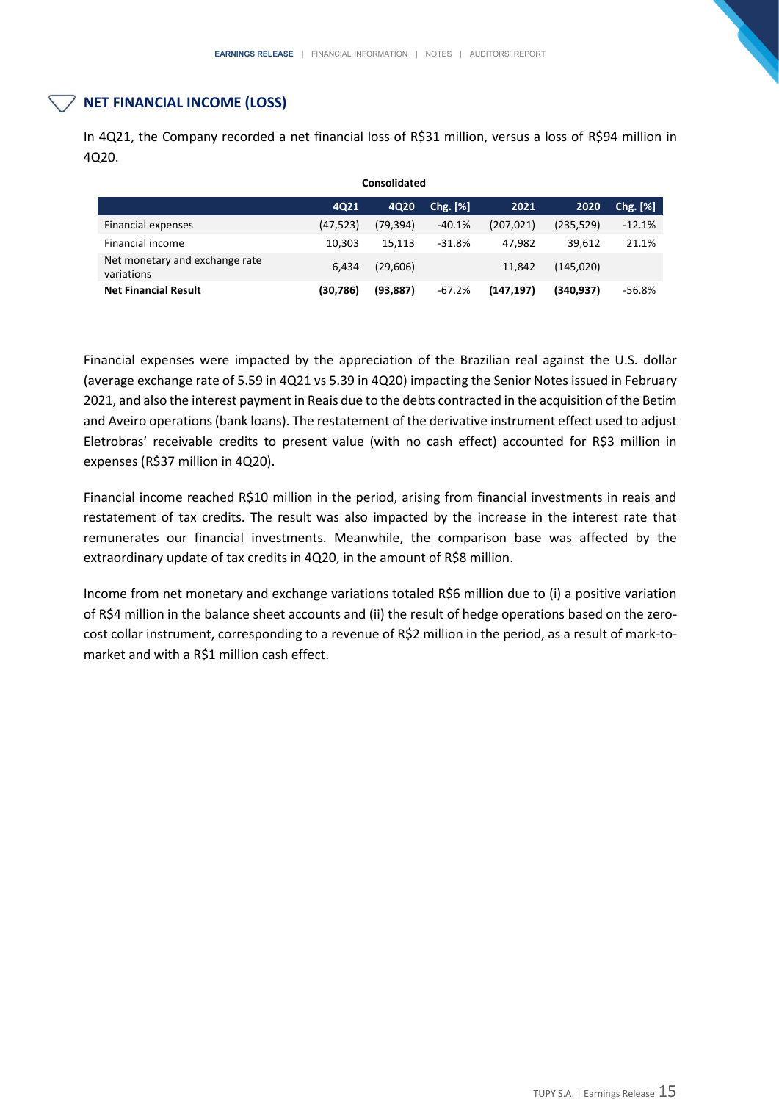# **NET FINANCIAL INCOME (LOSS)**

In 4Q21, the Company recorded a net financial loss of R\$31 million, versus a loss of R\$94 million in 4Q20.

| Consolidated                                 |           |           |          |            |            |          |  |  |  |
|----------------------------------------------|-----------|-----------|----------|------------|------------|----------|--|--|--|
|                                              | 4Q21      | 4Q20      | Chg. [%] | 2021       | 2020       | Chg. [%] |  |  |  |
| Financial expenses                           | (47, 523) | (79, 394) | $-40.1%$ | (207, 021) | (235, 529) | $-12.1%$ |  |  |  |
| Financial income                             | 10.303    | 15.113    | $-31.8%$ | 47.982     | 39.612     | 21.1%    |  |  |  |
| Net monetary and exchange rate<br>variations | 6.434     | (29,606)  |          | 11.842     | (145,020)  |          |  |  |  |
| <b>Net Financial Result</b>                  | (30,786)  | (93, 887) | $-67.2%$ | (147, 197) | (340.937)  | $-56.8%$ |  |  |  |

Financial expenses were impacted by the appreciation of the Brazilian real against the U.S. dollar (average exchange rate of 5.59 in 4Q21 vs 5.39 in 4Q20) impacting the Senior Notes issued in February 2021, and also the interest payment in Reais due to the debts contracted in the acquisition of the Betim and Aveiro operations (bank loans). The restatement of the derivative instrument effect used to adjust Eletrobras' receivable credits to present value (with no cash effect) accounted for R\$3 million in expenses (R\$37 million in 4Q20).

Financial income reached R\$10 million in the period, arising from financial investments in reais and restatement of tax credits. The result was also impacted by the increase in the interest rate that remunerates our financial investments. Meanwhile, the comparison base was affected by the extraordinary update of tax credits in 4Q20, in the amount of R\$8 million.

Income from net monetary and exchange variations totaled R\$6 million due to (i) a positive variation of R\$4 million in the balance sheet accounts and (ii) the result of hedge operations based on the zerocost collar instrument, corresponding to a revenue of R\$2 million in the period, as a result of mark-tomarket and with a R\$1 million cash effect.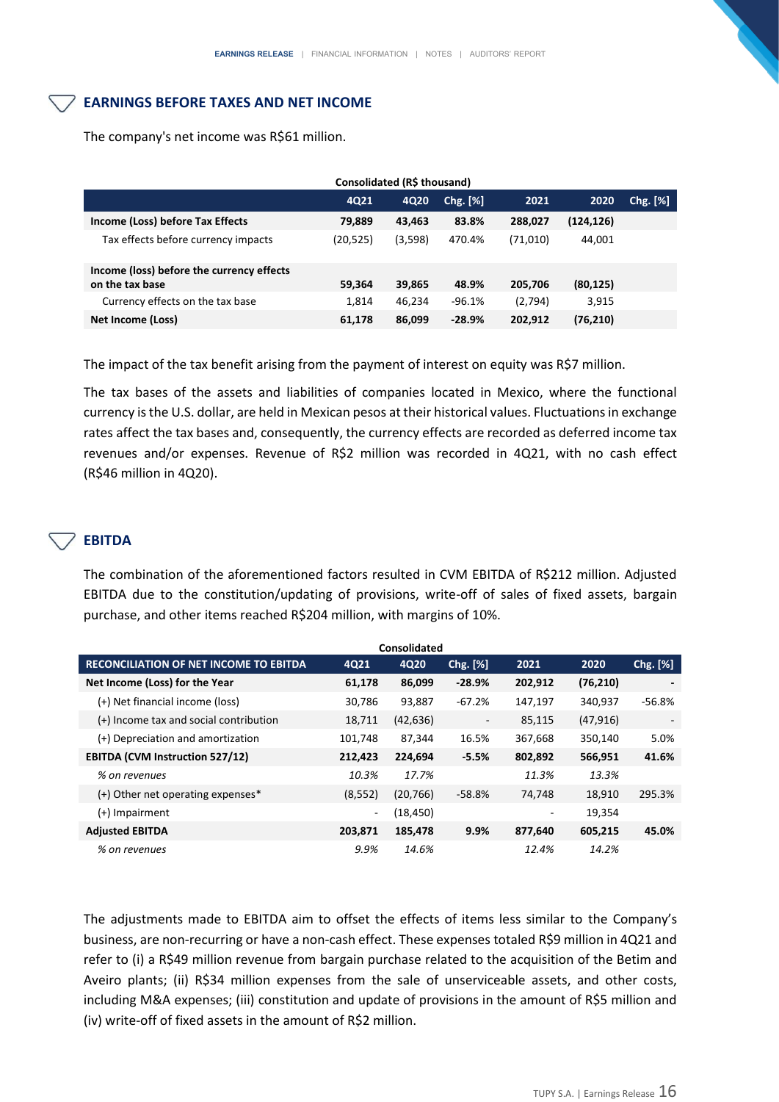# **EARNINGS BEFORE TAXES AND NET INCOME**

| Consolidated (R\$ thousand)                                  |           |         |            |          |            |            |  |  |
|--------------------------------------------------------------|-----------|---------|------------|----------|------------|------------|--|--|
|                                                              | 4Q21      | 4Q20    | $Chg.$ [%] | 2021     | 2020       | $Chg.$ [%] |  |  |
| Income (Loss) before Tax Effects                             | 79.889    | 43,463  | 83.8%      | 288.027  | (124, 126) |            |  |  |
| Tax effects before currency impacts                          | (20, 525) | (3,598) | 470.4%     | (71,010) | 44,001     |            |  |  |
| Income (loss) before the currency effects<br>on the tax base | 59,364    | 39,865  | 48.9%      | 205,706  | (80, 125)  |            |  |  |
| Currency effects on the tax base                             | 1.814     | 46.234  | $-96.1%$   | (2,794)  | 3,915      |            |  |  |
| Net Income (Loss)                                            | 61,178    | 86,099  | $-28.9%$   | 202,912  | (76, 210)  |            |  |  |

The company's net income was R\$61 million.

The impact of the tax benefit arising from the payment of interest on equity was R\$7 million.

The tax bases of the assets and liabilities of companies located in Mexico, where the functional currency is the U.S. dollar, are held in Mexican pesos at their historical values. Fluctuations in exchange rates affect the tax bases and, consequently, the currency effects are recorded as deferred income tax revenues and/or expenses. Revenue of R\$2 million was recorded in 4Q21, with no cash effect (R\$46 million in 4Q20).

# **EBITDA**

The combination of the aforementioned factors resulted in CVM EBITDA of R\$212 million. Adjusted EBITDA due to the constitution/updating of provisions, write-off of sales of fixed assets, bargain purchase, and other items reached R\$204 million, with margins of 10%.

| Consolidated                                  |                          |           |                          |         |           |            |  |  |
|-----------------------------------------------|--------------------------|-----------|--------------------------|---------|-----------|------------|--|--|
| <b>RECONCILIATION OF NET INCOME TO EBITDA</b> | 4Q21                     | 4Q20      | Chg. [%]                 | 2021    | 2020      | $Chg.$ [%] |  |  |
| Net Income (Loss) for the Year                | 61,178                   | 86,099    | $-28.9%$                 | 202,912 | (76, 210) |            |  |  |
| (+) Net financial income (loss)               | 30,786                   | 93,887    | $-67.2%$                 | 147,197 | 340,937   | $-56.8%$   |  |  |
| (+) Income tax and social contribution        | 18,711                   | (42, 636) | $\overline{\phantom{a}}$ | 85,115  | (47, 916) |            |  |  |
| (+) Depreciation and amortization             | 101,748                  | 87,344    | 16.5%                    | 367,668 | 350,140   | 5.0%       |  |  |
| <b>EBITDA (CVM Instruction 527/12)</b>        | 212,423                  | 224,694   | $-5.5%$                  | 802,892 | 566,951   | 41.6%      |  |  |
| % on revenues                                 | 10.3%                    | 17.7%     |                          | 11.3%   | 13.3%     |            |  |  |
| $(+)$ Other net operating expenses*           | (8, 552)                 | (20, 766) | $-58.8%$                 | 74,748  | 18.910    | 295.3%     |  |  |
| $(+)$ Impairment                              | $\overline{\phantom{0}}$ | (18,450)  |                          |         | 19,354    |            |  |  |
| <b>Adjusted EBITDA</b>                        | 203,871                  | 185,478   | 9.9%                     | 877,640 | 605,215   | 45.0%      |  |  |
| % on revenues                                 | 9.9%                     | 14.6%     |                          | 12.4%   | 14.2%     |            |  |  |

The adjustments made to EBITDA aim to offset the effects of items less similar to the Company's business, are non-recurring or have a non-cash effect. These expenses totaled R\$9 million in 4Q21 and refer to (i) a R\$49 million revenue from bargain purchase related to the acquisition of the Betim and Aveiro plants; (ii) R\$34 million expenses from the sale of unserviceable assets, and other costs, including M&A expenses; (iii) constitution and update of provisions in the amount of R\$5 million and (iv) write-off of fixed assets in the amount of R\$2 million.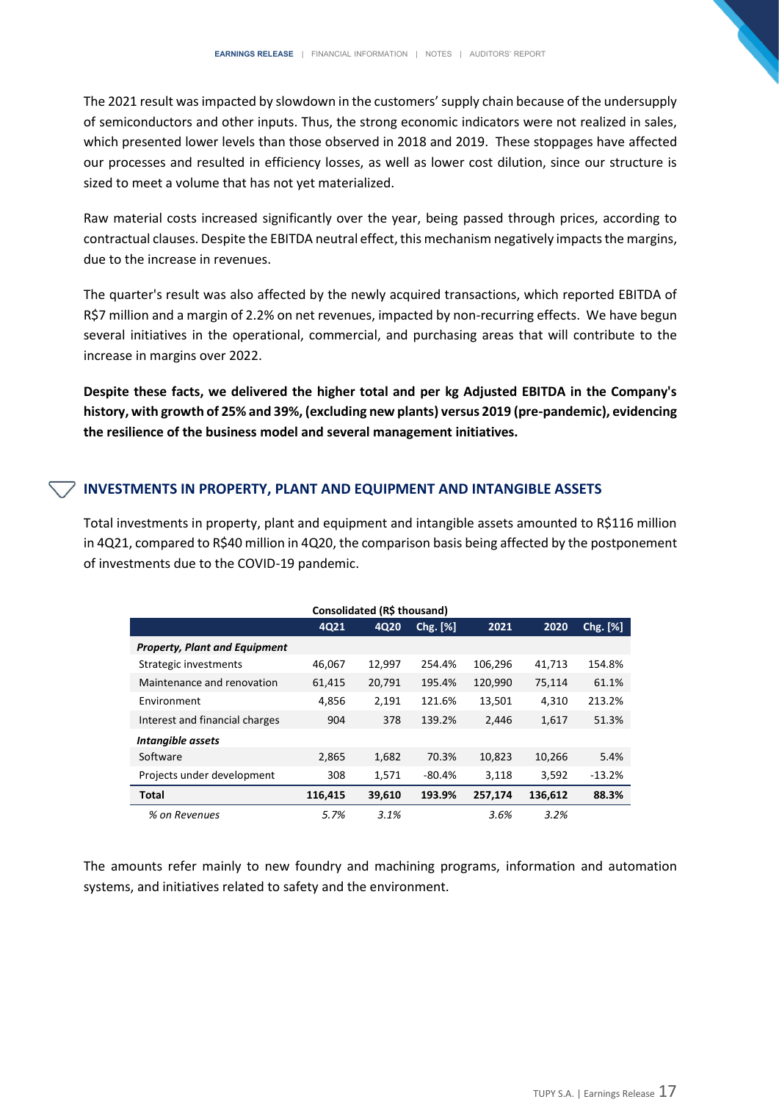The 2021 result was impacted by slowdown in the customers' supply chain because of the undersupply of semiconductors and other inputs. Thus, the strong economic indicators were not realized in sales, which presented lower levels than those observed in 2018 and 2019. These stoppages have affected our processes and resulted in efficiency losses, as well as lower cost dilution, since our structure is sized to meet a volume that has not yet materialized.

Raw material costs increased significantly over the year, being passed through prices, according to contractual clauses. Despite the EBITDA neutral effect, this mechanism negatively impacts the margins, due to the increase in revenues.

The quarter's result was also affected by the newly acquired transactions, which reported EBITDA of R\$7 million and a margin of 2.2% on net revenues, impacted by non-recurring effects. We have begun several initiatives in the operational, commercial, and purchasing areas that will contribute to the increase in margins over 2022.

**Despite these facts, we delivered the higher total and per kg Adjusted EBITDA in the Company's history, with growth of 25% and 39%, (excluding new plants) versus 2019 (pre-pandemic), evidencing the resilience of the business model and several management initiatives.** 

## **INVESTMENTS IN PROPERTY, PLANT AND EQUIPMENT AND INTANGIBLE ASSETS**

Total investments in property, plant and equipment and intangible assets amounted to R\$116 million in 4Q21, compared to R\$40 million in 4Q20, the comparison basis being affected by the postponement of investments due to the COVID-19 pandemic.

| Consolidated (R\$ thousand)          |         |        |          |         |         |          |  |  |  |  |
|--------------------------------------|---------|--------|----------|---------|---------|----------|--|--|--|--|
|                                      | 4021    | 4020   | Chg. [%] | 2021    | 2020    | Chg. [%] |  |  |  |  |
| <b>Property, Plant and Equipment</b> |         |        |          |         |         |          |  |  |  |  |
| Strategic investments                | 46,067  | 12,997 | 254.4%   | 106,296 | 41,713  | 154.8%   |  |  |  |  |
| Maintenance and renovation           | 61,415  | 20,791 | 195.4%   | 120,990 | 75,114  | 61.1%    |  |  |  |  |
| Environment                          | 4,856   | 2,191  | 121.6%   | 13,501  | 4,310   | 213.2%   |  |  |  |  |
| Interest and financial charges       | 904     | 378    | 139.2%   | 2,446   | 1,617   | 51.3%    |  |  |  |  |
| Intangible assets                    |         |        |          |         |         |          |  |  |  |  |
| Software                             | 2,865   | 1,682  | 70.3%    | 10,823  | 10,266  | 5.4%     |  |  |  |  |
| Projects under development           | 308     | 1,571  | $-80.4%$ | 3,118   | 3,592   | $-13.2%$ |  |  |  |  |
| Total                                | 116,415 | 39,610 | 193.9%   | 257,174 | 136,612 | 88.3%    |  |  |  |  |
| % on Revenues                        | 5.7%    | 3.1%   |          | 3.6%    | 3.2%    |          |  |  |  |  |

The amounts refer mainly to new foundry and machining programs, information and automation systems, and initiatives related to safety and the environment.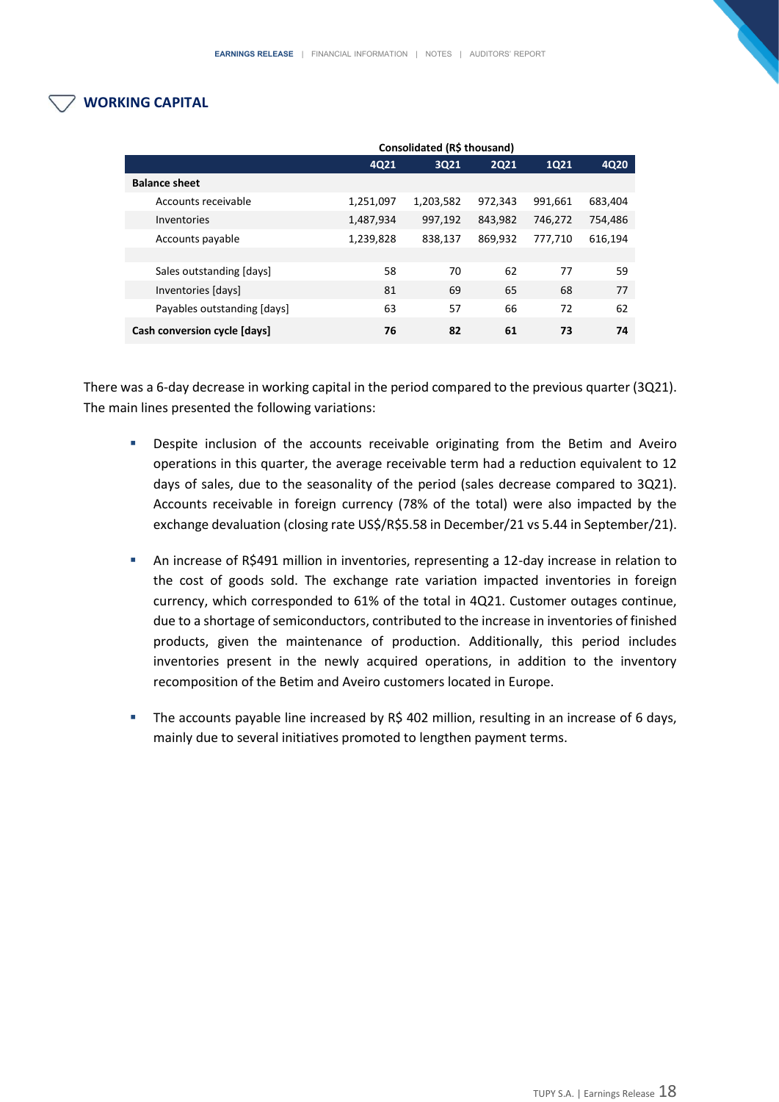# **WORKING CAPITAL**

|                              | Consolidated (R\$ thousand) |           |             |             |         |  |  |  |
|------------------------------|-----------------------------|-----------|-------------|-------------|---------|--|--|--|
|                              | 4Q21                        | 3Q21      | <b>2Q21</b> | <b>1Q21</b> | 4Q20    |  |  |  |
| <b>Balance sheet</b>         |                             |           |             |             |         |  |  |  |
| Accounts receivable          | 1,251,097                   | 1,203,582 | 972,343     | 991,661     | 683,404 |  |  |  |
| Inventories                  | 1,487,934                   | 997,192   | 843,982     | 746,272     | 754,486 |  |  |  |
| Accounts payable             | 1,239,828                   | 838,137   | 869,932     | 777,710     | 616,194 |  |  |  |
|                              |                             |           |             |             |         |  |  |  |
| Sales outstanding [days]     | 58                          | 70        | 62          | 77          | 59      |  |  |  |
| Inventories [days]           | 81                          | 69        | 65          | 68          | 77      |  |  |  |
| Payables outstanding [days]  | 63                          | 57        | 66          | 72          | 62      |  |  |  |
| Cash conversion cycle [days] | 76                          | 82        | 61          | 73          | 74      |  |  |  |

There was a 6-day decrease in working capital in the period compared to the previous quarter (3Q21). The main lines presented the following variations:

- **•** Despite inclusion of the accounts receivable originating from the Betim and Aveiro operations in this quarter, the average receivable term had a reduction equivalent to 12 days of sales, due to the seasonality of the period (sales decrease compared to 3Q21). Accounts receivable in foreign currency (78% of the total) were also impacted by the exchange devaluation (closing rate US\$/R\$5.58 in December/21 vs 5.44 in September/21).
- An increase of R\$491 million in inventories, representing a 12-day increase in relation to the cost of goods sold. The exchange rate variation impacted inventories in foreign currency, which corresponded to 61% of the total in 4Q21. Customer outages continue, due to a shortage of semiconductors, contributed to the increase in inventories of finished products, given the maintenance of production. Additionally, this period includes inventories present in the newly acquired operations, in addition to the inventory recomposition of the Betim and Aveiro customers located in Europe.
- The accounts payable line increased by R\$ 402 million, resulting in an increase of 6 days, mainly due to several initiatives promoted to lengthen payment terms.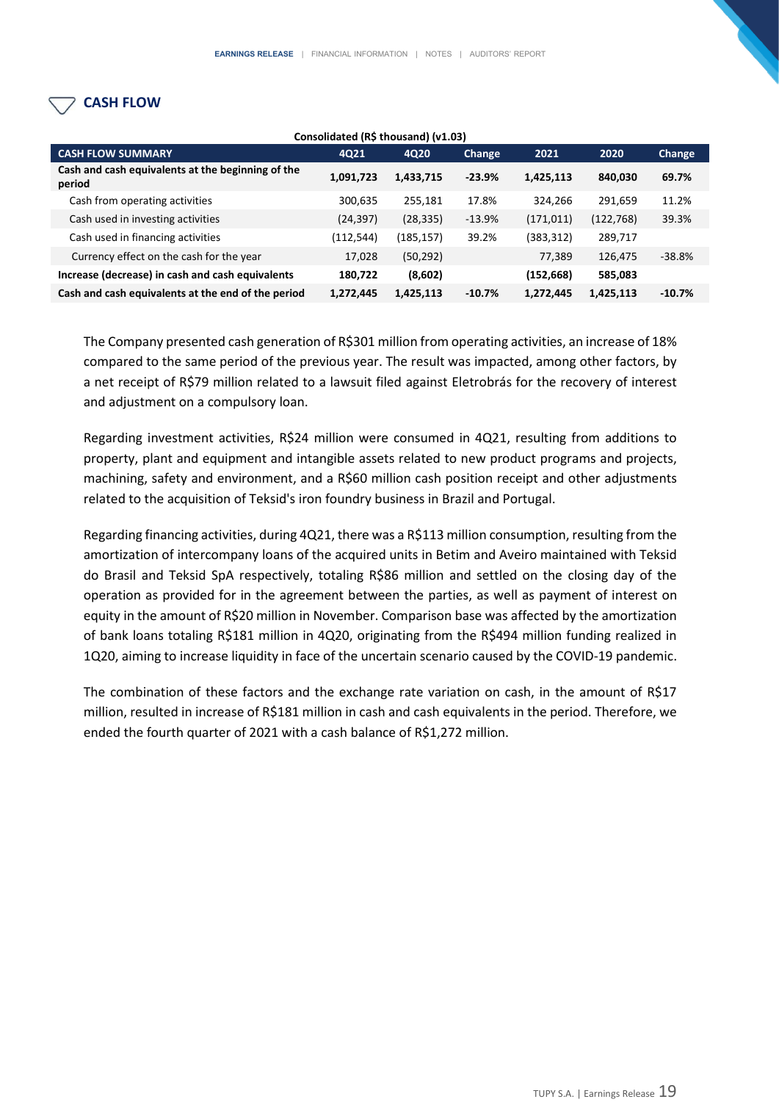# **CASH FLOW**

| Consolidated (R\$ thousand) (v1.03)                         |            |           |          |            |            |               |  |  |  |
|-------------------------------------------------------------|------------|-----------|----------|------------|------------|---------------|--|--|--|
| <b>CASH FLOW SUMMARY</b>                                    | 4Q21       | 4Q20      | Change   | 2021       | 2020       | <b>Change</b> |  |  |  |
| Cash and cash equivalents at the beginning of the<br>period | 1,091,723  | 1,433,715 | $-23.9%$ | 1,425,113  | 840,030    | 69.7%         |  |  |  |
| Cash from operating activities                              | 300,635    | 255,181   | 17.8%    | 324,266    | 291,659    | 11.2%         |  |  |  |
| Cash used in investing activities                           | (24, 397)  | (28, 335) | $-13.9%$ | (171, 011) | (122, 768) | 39.3%         |  |  |  |
| Cash used in financing activities                           | (112, 544) | (185,157) | 39.2%    | (383,312)  | 289,717    |               |  |  |  |
| Currency effect on the cash for the year                    | 17,028     | (50, 292) |          | 77,389     | 126,475    | $-38.8%$      |  |  |  |
| Increase (decrease) in cash and cash equivalents            | 180,722    | (8,602)   |          | (152, 668) | 585,083    |               |  |  |  |
| Cash and cash equivalents at the end of the period          | 1,272,445  | 1,425,113 | $-10.7%$ | 1,272,445  | 1,425,113  | $-10.7%$      |  |  |  |

The Company presented cash generation of R\$301 million from operating activities, an increase of 18% compared to the same period of the previous year. The result was impacted, among other factors, by a net receipt of R\$79 million related to a lawsuit filed against Eletrobrás for the recovery of interest and adjustment on a compulsory loan.

Regarding investment activities, R\$24 million were consumed in 4Q21, resulting from additions to property, plant and equipment and intangible assets related to new product programs and projects, machining, safety and environment, and a R\$60 million cash position receipt and other adjustments related to the acquisition of Teksid's iron foundry business in Brazil and Portugal.

Regarding financing activities, during 4Q21, there was a R\$113 million consumption, resulting from the amortization of intercompany loans of the acquired units in Betim and Aveiro maintained with Teksid do Brasil and Teksid SpA respectively, totaling R\$86 million and settled on the closing day of the operation as provided for in the agreement between the parties, as well as payment of interest on equity in the amount of R\$20 million in November. Comparison base was affected by the amortization of bank loans totaling R\$181 million in 4Q20, originating from the R\$494 million funding realized in 1Q20, aiming to increase liquidity in face of the uncertain scenario caused by the COVID-19 pandemic.

The combination of these factors and the exchange rate variation on cash, in the amount of R\$17 million, resulted in increase of R\$181 million in cash and cash equivalents in the period. Therefore, we ended the fourth quarter of 2021 with a cash balance of R\$1,272 million.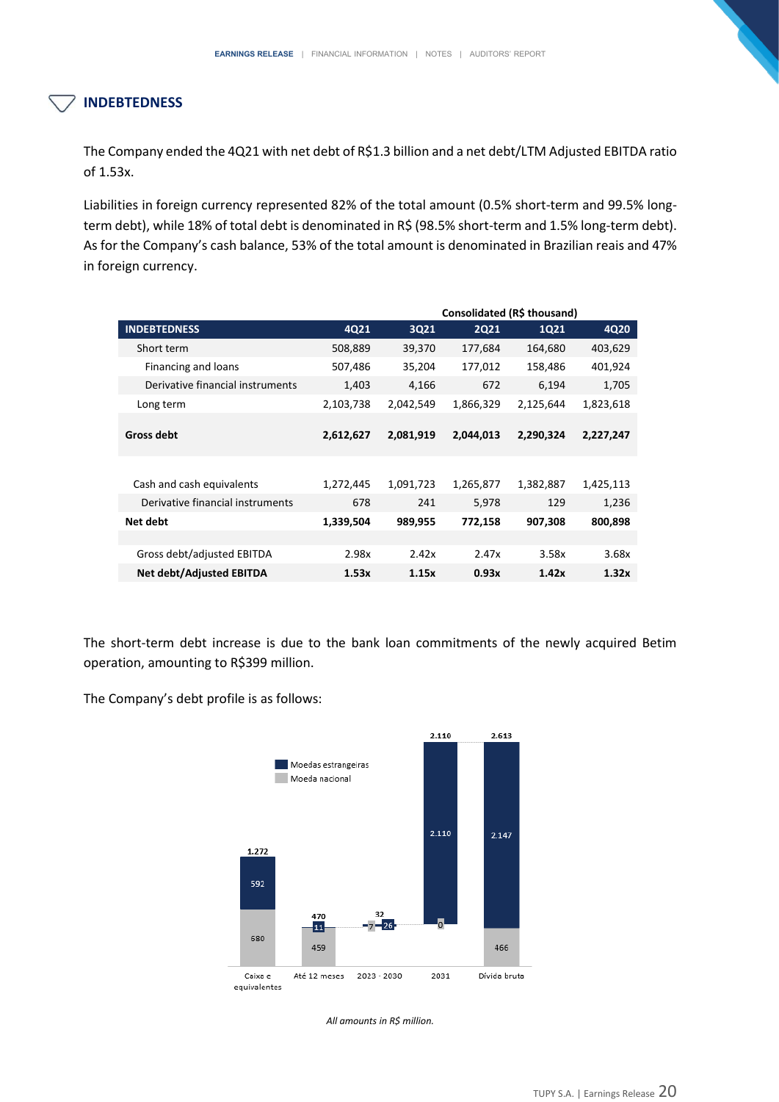# **INDEBTEDNESS**

The Company ended the 4Q21 with net debt of R\$1.3 billion and a net debt/LTM Adjusted EBITDA ratio of 1.53x.

Liabilities in foreign currency represented 82% of the total amount (0.5% short-term and 99.5% longterm debt), while 18% of total debt is denominated in R\$ (98.5% short-term and 1.5% long-term debt). As for the Company's cash balance, 53% of the total amount is denominated in Brazilian reais and 47% in foreign currency.

|                                  |           | Consolidated (R\$ thousand) |             |           |           |  |  |
|----------------------------------|-----------|-----------------------------|-------------|-----------|-----------|--|--|
| <b>INDEBTEDNESS</b>              | 4Q21      | 3Q21                        | <b>2Q21</b> | 1Q21      | 4Q20      |  |  |
| Short term                       | 508,889   | 39,370                      | 177,684     | 164,680   | 403,629   |  |  |
| Financing and loans              | 507,486   | 35,204                      | 177,012     | 158,486   | 401,924   |  |  |
| Derivative financial instruments | 1,403     | 4,166                       | 672         | 6,194     | 1,705     |  |  |
| Long term                        | 2,103,738 | 2,042,549                   | 1,866,329   | 2,125,644 | 1,823,618 |  |  |
| Gross debt                       | 2,612,627 | 2,081,919                   | 2,044,013   | 2,290,324 | 2,227,247 |  |  |
|                                  |           |                             |             |           |           |  |  |
| Cash and cash equivalents        | 1,272,445 | 1,091,723                   | 1,265,877   | 1,382,887 | 1,425,113 |  |  |
| Derivative financial instruments | 678       | 241                         | 5,978       | 129       | 1,236     |  |  |
| Net debt                         | 1,339,504 | 989,955                     | 772,158     | 907.308   | 800,898   |  |  |
|                                  |           |                             |             |           |           |  |  |
| Gross debt/adjusted EBITDA       | 2.98x     | 2.42x                       | 2.47x       | 3.58x     | 3.68x     |  |  |
| <b>Net debt/Adjusted EBITDA</b>  | 1.53x     | 1.15x                       | 0.93x       | 1.42x     | 1.32x     |  |  |

The short-term debt increase is due to the bank loan commitments of the newly acquired Betim operation, amounting to R\$399 million.

The Company's debt profile is as follows:



*All amounts in R\$ million.*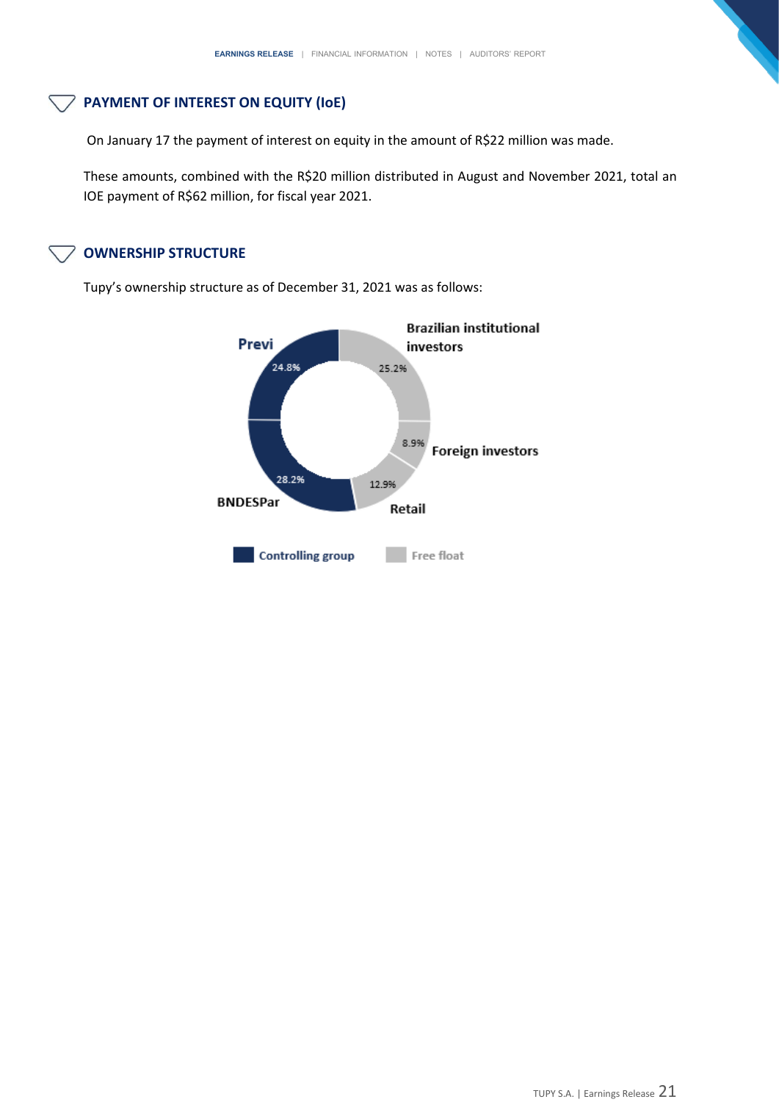# **PAYMENT OF INTEREST ON EQUITY (IoE)**

On January 17 the payment of interest on equity in the amount of R\$22 million was made.

These amounts, combined with the R\$20 million distributed in August and November 2021, total an IOE payment of R\$62 million, for fiscal year 2021.

# **OWNERSHIP STRUCTURE**

Tupy's ownership structure as of December 31, 2021 was as follows:

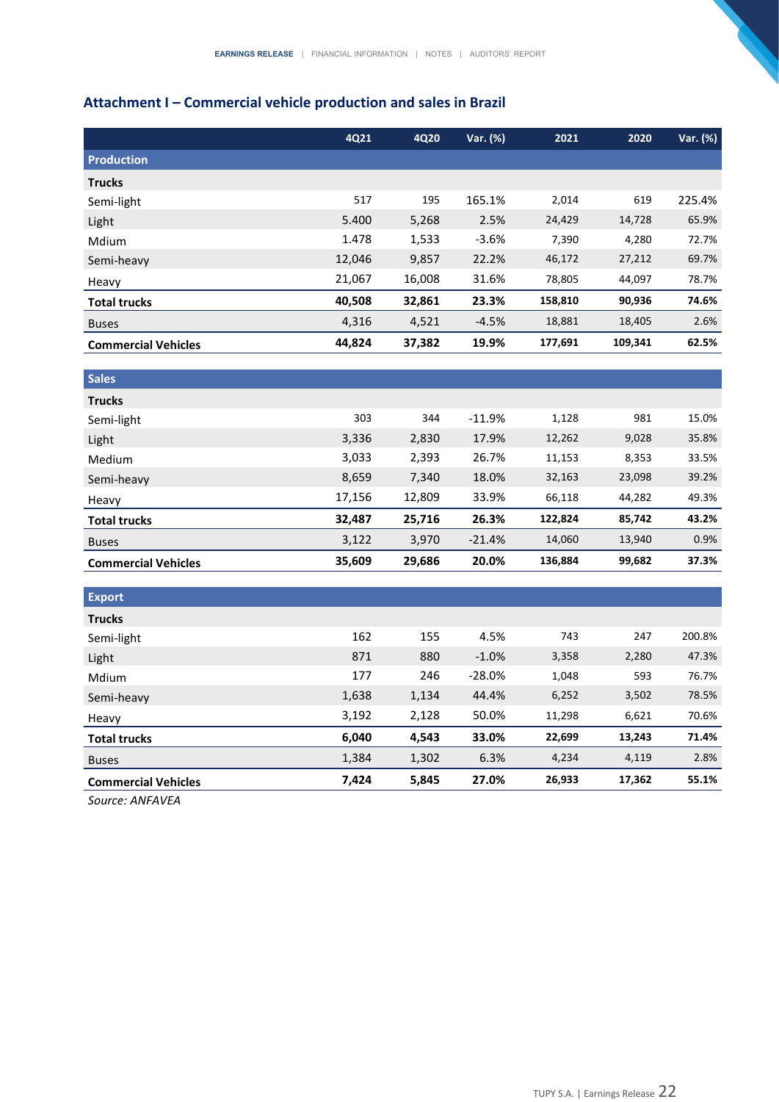# **Attachment I – Commercial vehicle production and sales in Brazil**

|                            | 4Q21   | 4Q20   | Var. (%) | 2021    | 2020    | Var. (%) |
|----------------------------|--------|--------|----------|---------|---------|----------|
| <b>Production</b>          |        |        |          |         |         |          |
| <b>Trucks</b>              |        |        |          |         |         |          |
| Semi-light                 | 517    | 195    | 165.1%   | 2,014   | 619     | 225.4%   |
| Light                      | 5.400  | 5,268  | 2.5%     | 24,429  | 14,728  | 65.9%    |
| Mdium                      | 1.478  | 1,533  | $-3.6%$  | 7,390   | 4,280   | 72.7%    |
| Semi-heavy                 | 12,046 | 9,857  | 22.2%    | 46,172  | 27,212  | 69.7%    |
| Heavy                      | 21,067 | 16,008 | 31.6%    | 78,805  | 44,097  | 78.7%    |
| <b>Total trucks</b>        | 40,508 | 32,861 | 23.3%    | 158,810 | 90,936  | 74.6%    |
| <b>Buses</b>               | 4,316  | 4,521  | $-4.5%$  | 18,881  | 18,405  | 2.6%     |
| <b>Commercial Vehicles</b> | 44,824 | 37,382 | 19.9%    | 177,691 | 109,341 | 62.5%    |
|                            |        |        |          |         |         |          |
| <b>Sales</b>               |        |        |          |         |         |          |
| <b>Trucks</b>              |        |        |          |         |         |          |
| Semi-light                 | 303    | 344    | $-11.9%$ | 1,128   | 981     | 15.0%    |
| Light                      | 3,336  | 2,830  | 17.9%    | 12,262  | 9,028   | 35.8%    |
| Medium                     | 3,033  | 2,393  | 26.7%    | 11,153  | 8,353   | 33.5%    |
| Semi-heavy                 | 8,659  | 7,340  | 18.0%    | 32,163  | 23,098  | 39.2%    |

| <b>Commercial Vehicles</b> | 35.609 | 29.686 | 20.0%    | 136.884 | 99.682 | 37.3% |
|----------------------------|--------|--------|----------|---------|--------|-------|
| <b>Buses</b>               | 3,122  | 3.970  | $-21.4%$ | 14.060  | 13,940 | 0.9%  |
| <b>Total trucks</b>        | 32.487 | 25.716 | 26.3%    | 122.824 | 85.742 | 43.2% |
| Heavy                      | 17.156 | 12.809 | 33.9%    | 66.118  | 44.282 | 49.3% |

| <b>Export</b>              |       |       |          |        |        |        |
|----------------------------|-------|-------|----------|--------|--------|--------|
| <b>Trucks</b>              |       |       |          |        |        |        |
| Semi-light                 | 162   | 155   | 4.5%     | 743    | 247    | 200.8% |
| Light                      | 871   | 880   | $-1.0%$  | 3,358  | 2,280  | 47.3%  |
| Mdium                      | 177   | 246   | $-28.0%$ | 1,048  | 593    | 76.7%  |
| Semi-heavy                 | 1,638 | 1,134 | 44.4%    | 6,252  | 3,502  | 78.5%  |
| Heavy                      | 3,192 | 2,128 | 50.0%    | 11,298 | 6,621  | 70.6%  |
| <b>Total trucks</b>        | 6,040 | 4,543 | 33.0%    | 22,699 | 13,243 | 71.4%  |
| <b>Buses</b>               | 1,384 | 1,302 | 6.3%     | 4,234  | 4,119  | 2.8%   |
| <b>Commercial Vehicles</b> | 7,424 | 5,845 | 27.0%    | 26,933 | 17,362 | 55.1%  |

*Source: ANFAVEA*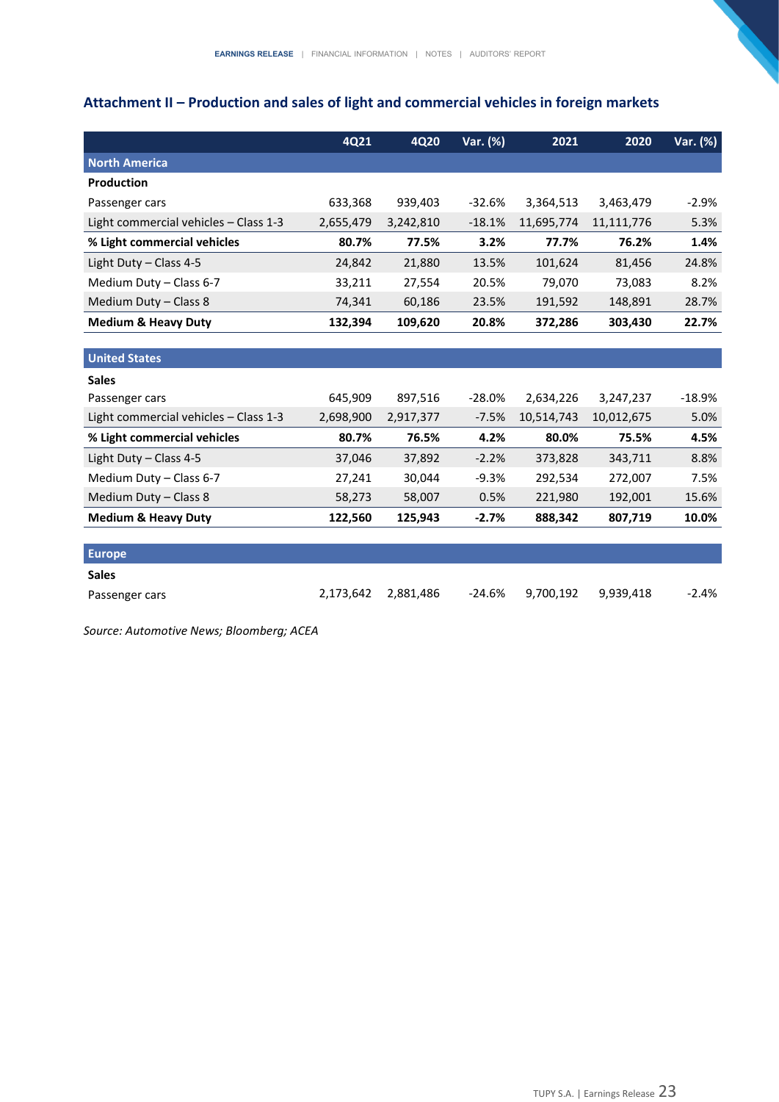# **Attachment II – Production and sales of light and commercial vehicles in foreign markets**

|                                       | 4Q21      | <b>4Q20</b> | Var. (%) | 2021       | 2020       | Var. (%) |
|---------------------------------------|-----------|-------------|----------|------------|------------|----------|
| <b>North America</b>                  |           |             |          |            |            |          |
| <b>Production</b>                     |           |             |          |            |            |          |
| Passenger cars                        | 633,368   | 939,403     | $-32.6%$ | 3,364,513  | 3,463,479  | $-2.9%$  |
| Light commercial vehicles - Class 1-3 | 2,655,479 | 3,242,810   | $-18.1%$ | 11,695,774 | 11,111,776 | 5.3%     |
| % Light commercial vehicles           | 80.7%     | 77.5%       | 3.2%     | 77.7%      | 76.2%      | 1.4%     |
| Light Duty - Class 4-5                | 24,842    | 21,880      | 13.5%    | 101,624    | 81,456     | 24.8%    |
| Medium Duty - Class 6-7               | 33,211    | 27,554      | 20.5%    | 79,070     | 73,083     | 8.2%     |
| Medium Duty - Class 8                 | 74,341    | 60,186      | 23.5%    | 191,592    | 148,891    | 28.7%    |
| <b>Medium &amp; Heavy Duty</b>        | 132,394   | 109,620     | 20.8%    | 372,286    | 303,430    | 22.7%    |
|                                       |           |             |          |            |            |          |
| <b>United States</b>                  |           |             |          |            |            |          |
| <b>Sales</b>                          |           |             |          |            |            |          |
| Passenger cars                        | 645,909   | 897,516     | $-28.0%$ | 2,634,226  | 3,247,237  | $-18.9%$ |
| Light commercial vehicles - Class 1-3 | 2,698,900 | 2,917,377   | $-7.5%$  | 10,514,743 | 10,012,675 | 5.0%     |
| % Light commercial vehicles           | 80.7%     | 76.5%       | 4.2%     | 80.0%      | 75.5%      | 4.5%     |
| Light Duty - Class 4-5                | 37,046    | 37,892      | $-2.2%$  | 373,828    | 343,711    | 8.8%     |
| Medium Duty - Class 6-7               | 27,241    | 30,044      | $-9.3%$  | 292,534    | 272,007    | 7.5%     |
| Medium Duty - Class 8                 | 58,273    | 58,007      | 0.5%     | 221,980    | 192,001    | 15.6%    |
| <b>Medium &amp; Heavy Duty</b>        | 122,560   | 125,943     | $-2.7%$  | 888,342    | 807,719    | 10.0%    |
|                                       |           |             |          |            |            |          |
| <b>Europe</b>                         |           |             |          |            |            |          |
| <b>Sales</b>                          |           |             |          |            |            |          |
| Passenger cars                        | 2,173,642 | 2,881,486   | $-24.6%$ | 9,700,192  | 9,939,418  | $-2.4%$  |

*Source: Automotive News; Bloomberg; ACEA*